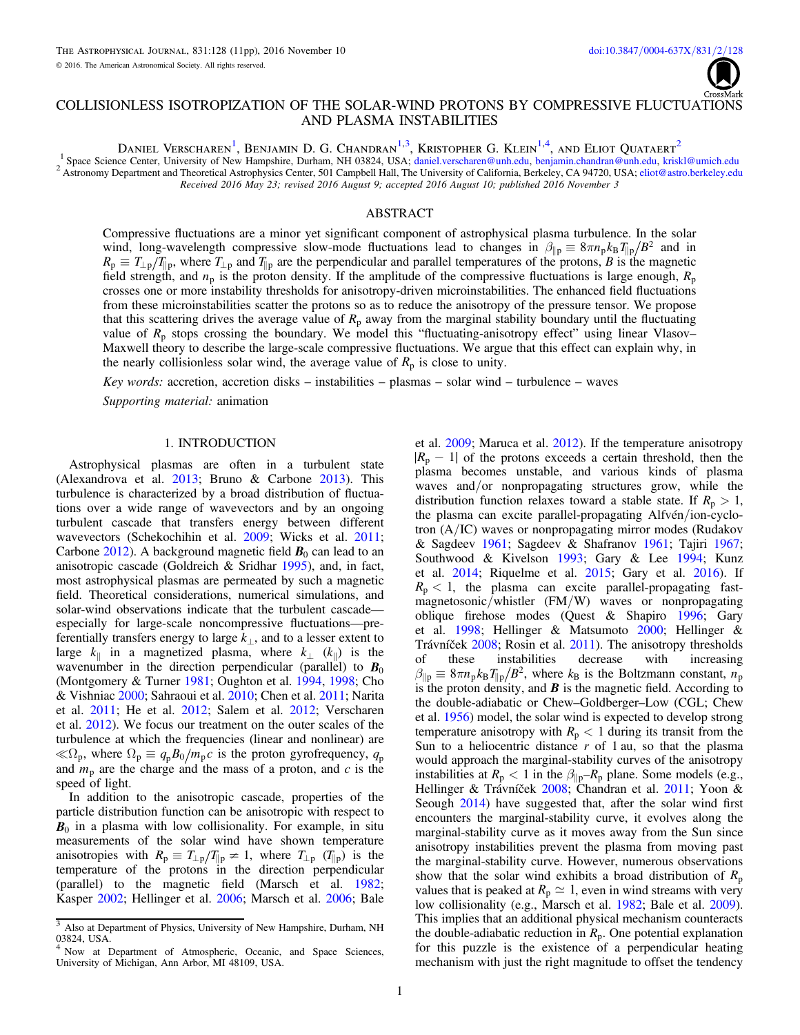

# COLLISIONLESS ISOTROPIZATION OF THE SOLAR-WIND PROTONS BY COMPRESSIVE FLUCTUATIONS AND PLASMA INSTABILITIES

Daniel Verscharen $^1$  $^1$ , Benjamin D. G. Chandran $^{1,3}$  $^{1,3}$  $^{1,3}$  $^{1,3}$ , Kristopher G. Klein $^{1,4}$  $^{1,4}$  $^{1,4}$ , and Eliot Quataert $^2$  $^2$ 

<span id="page-0-3"></span><span id="page-0-0"></span><sup>1</sup> Space Science Center, University of New Hampshire, Durham, NH 03824, USA; [daniel.verscharen@unh.edu](mailto:daniel.verscharen@unh.edu), [benjamin.chandran@unh.edu,](mailto:benjamin.chandran@unh.edu) [kriskl@umich.edu](mailto:kriskl@umich.edu)<br><sup>2</sup> Astronomy Department and Theoretical Astrophysics Center, 501 Campbe Received 2016 May 23; revised 2016 August 9; accepted 2016 August 10; published 2016 November 3

# ABSTRACT

Compressive fluctuations are a minor yet significant component of astrophysical plasma turbulence. In the solar wind, long-wavelength compressive slow-mode fluctuations lead to changes in  $\beta_{\parallel p} \equiv 8\pi n_p k_B T_{\parallel p}/B^2$  and in  $R_p \equiv T_{\perp p}/T_{\parallel p}$ , where  $T_{\perp p}$  and  $T_{\parallel p}$  are the perpendicular and parallel temperatures of the protons, B is the magnetic field strength, and  $n_p$  is the proton density. If the amplitude of the compressive fluctuations is large enough,  $R_p$ crosses one or more instability thresholds for anisotropy-driven microinstabilities. The enhanced field fluctuations from these microinstabilities scatter the protons so as to reduce the anisotropy of the pressure tensor. We propose that this scattering drives the average value of  $R_p$  away from the marginal stability boundary until the fluctuating value of  $R_p$  stops crossing the boundary. We model this "fluctuating-anisotropy effect" using linear Vlasov– Maxwell theory to describe the large-scale compressive fluctuations. We argue that this effect can explain why, in the nearly collisionless solar wind, the average value of  $R_p$  is close to unity.

Key words: accretion, accretion disks – instabilities – plasmas – solar wind – turbulence – waves

Supporting material: animation

### 1. INTRODUCTION

Astrophysical plasmas are often in a turbulent state (Alexandrova et al. [2013;](#page-9-0) Bruno & Carbone [2013](#page-9-1)). This turbulence is characterized by a broad distribution of fluctuations over a wide range of wavevectors and by an ongoing turbulent cascade that transfers energy between different wavevectors (Schekochihin et al. [2009](#page-10-0); Wicks et al. [2011](#page-10-1); Carbone [2012](#page-9-2)). A background magnetic field  $B_0$  can lead to an anisotropic cascade (Goldreich & Sridhar [1995](#page-10-2)), and, in fact, most astrophysical plasmas are permeated by such a magnetic field. Theoretical considerations, numerical simulations, and solar-wind observations indicate that the turbulent cascade especially for large-scale noncompressive fluctuations—preferentially transfers energy to large  $k_{\perp}$ , and to a lesser extent to large  $k_{\parallel}$  in a magnetized plasma, where  $k_{\perp}$  ( $k_{\parallel}$ ) is the wavenumber in the direction perpendicular (parallel) to  $B_0$ (Montgomery & Turner [1981;](#page-10-3) Oughton et al. [1994,](#page-10-4) [1998;](#page-10-5) Cho & Vishniac [2000](#page-9-3); Sahraoui et al. [2010;](#page-10-6) Chen et al. [2011](#page-9-4); Narita et al. [2011](#page-10-7); He et al. [2012;](#page-10-8) Salem et al. [2012;](#page-10-9) Verscharen et al. [2012](#page-10-10)). We focus our treatment on the outer scales of the turbulence at which the frequencies (linear and nonlinear) are  $\ll \Omega_p$ , where  $\Omega_p \equiv q_p B_0 / m_p c$  is the proton gyrofrequency,  $q_p$ and  $m_p$  are the charge and the mass of a proton, and  $c$  is the speed of light.

In addition to the anisotropic cascade, properties of the particle distribution function can be anisotropic with respect to  $B_0$  in a plasma with low collisionality. For example, in situ measurements of the solar wind have shown temperature anisotropies with  $R_p \equiv T_{\perp p}/T_{\parallel p} \neq 1$ , where  $T_{\perp p}$  ( $T_{\parallel p}$ ) is the temperature of the protons in the direction perpendicular (parallel) to the magnetic field (Marsch et al. [1982](#page-10-11); Kasper [2002;](#page-10-12) Hellinger et al. [2006;](#page-10-13) Marsch et al. [2006;](#page-10-14) Bale

et al. [2009;](#page-9-5) Maruca et al. [2012](#page-10-15)). If the temperature anisotropy  $|R_p - 1|$  of the protons exceeds a certain threshold, then the plasma becomes unstable, and various kinds of plasma waves and/or nonpropagating structures grow, while the distribution function relaxes toward a stable state. If  $R_p > 1$ , the plasma can excite parallel-propagating Alfvén/ion-cyclotron (A/IC) waves or nonpropagating mirror modes (Rudakov & Sagdeev [1961;](#page-10-16) Sagdeev & Shafranov [1961](#page-10-17); Tajiri [1967](#page-10-18); Southwood & Kivelson [1993;](#page-10-19) Gary & Lee [1994](#page-9-6); Kunz et al. [2014](#page-10-20); Riquelme et al. [2015;](#page-10-21) Gary et al. [2016](#page-9-7)). If  $R_p < 1$ , the plasma can excite parallel-propagating fastmagnetosonic/whistler (FM/W) waves or nonpropagating oblique firehose modes (Quest & Shapiro [1996](#page-10-22); Gary et al. [1998](#page-9-8); Hellinger & Matsumoto [2000;](#page-10-23) Hellinger & Trávníček [2008;](#page-10-24) Rosin et al. [2011](#page-10-25)). The anisotropy thresholds of these instabilities decrease with increasing  $\beta_{\parallel p} \equiv 8\pi n_p k_B T_{\parallel p}/B^2$ , where  $k_B$  is the Boltzmann constant,  $n_p$ is the proton density, and  $\boldsymbol{B}$  is the magnetic field. According to the double-adiabatic or Chew–Goldberger–Low (CGL; Chew et al. [1956](#page-9-9)) model, the solar wind is expected to develop strong temperature anisotropy with  $R_p < 1$  during its transit from the Sun to a heliocentric distance  $r$  of 1 au, so that the plasma would approach the marginal-stability curves of the anisotropy instabilities at  $R_p < 1$  in the  $\beta_{\parallel p} - R_p$  plane. Some models (e.g., Hellinger & Trávníček [2008;](#page-10-24) Chandran et al. [2011](#page-9-10); Yoon & Seough [2014](#page-10-26)) have suggested that, after the solar wind first encounters the marginal-stability curve, it evolves along the marginal-stability curve as it moves away from the Sun since anisotropy instabilities prevent the plasma from moving past the marginal-stability curve. However, numerous observations show that the solar wind exhibits a broad distribution of  $R_p$ values that is peaked at  $R_p \simeq 1$ , even in wind streams with very low collisionality (e.g., Marsch et al. [1982;](#page-10-11) Bale et al. [2009](#page-9-5)). This implies that an additional physical mechanism counteracts the double-adiabatic reduction in  $R_p$ . One potential explanation for this puzzle is the existence of a perpendicular heating mechanism with just the right magnitude to offset the tendency

<span id="page-0-1"></span><sup>&</sup>lt;sup>3</sup> Also at Department of Physics, University of New Hampshire, Durham, NH 03824, USA.

<span id="page-0-2"></span>Now at Department of Atmospheric, Oceanic, and Space Sciences, University of Michigan, Ann Arbor, MI 48109, USA.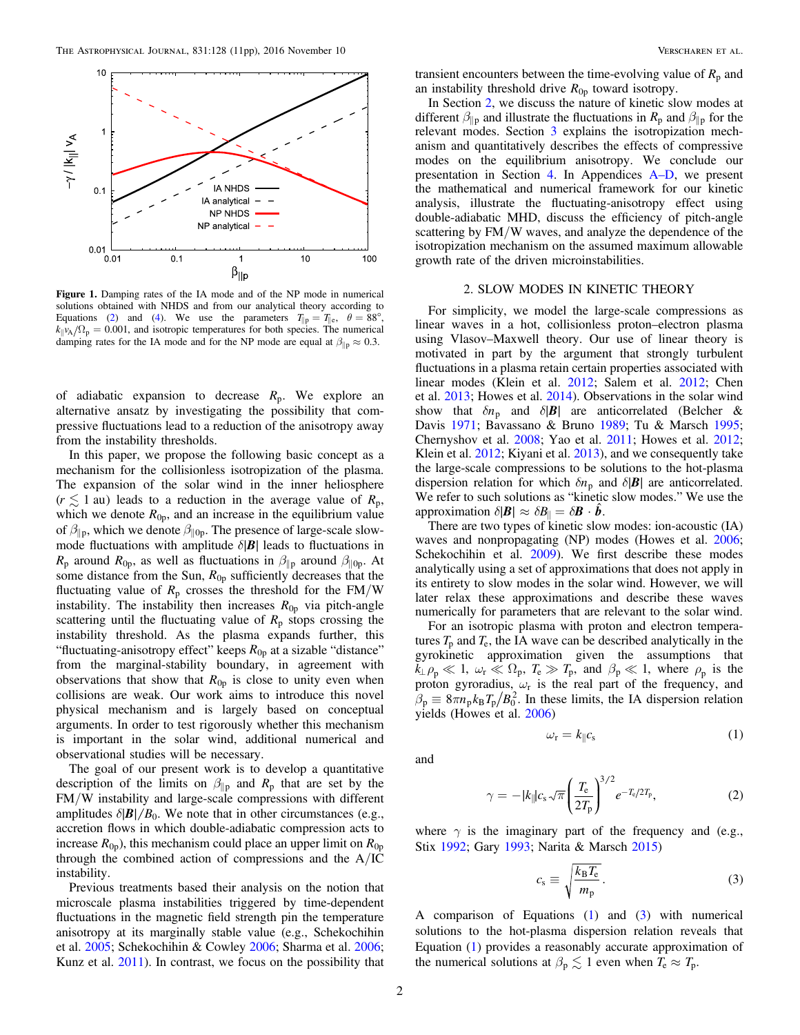<span id="page-1-4"></span>

Figure 1. Damping rates of the IA mode and of the NP mode in numerical solutions obtained with NHDS and from our analytical theory according to Equations ([2](#page-1-3)) and ([4](#page-2-1)). We use the parameters  $T_{\parallel p} = T_{\parallel e}$ ,  $\theta = 88^\circ$ ,  $k_{\parallel}v_A/\Omega_p = 0.001$ , and isotropic temperatures for both species. The numerical damping rates for the IA mode and for the NP mode are equal at  $\beta_{\parallel p} \approx 0.3$ .

of adiabatic expansion to decrease *R*p. We explore an alternative ansatz by investigating the possibility that compressive fluctuations lead to a reduction of the anisotropy away from the instability thresholds.

In this paper, we propose the following basic concept as a mechanism for the collisionless isotropization of the plasma. The expansion of the solar wind in the inner heliosphere  $(r \leq 1$  au) leads to a reduction in the average value of  $R_p$ , which we denote  $R_{0p}$ , and an increase in the equilibrium value of  $\beta_{\parallel p}$ , which we denote  $\beta_{\parallel 0p}$ . The presence of large-scale slowmode fluctuations with amplitude  $\delta$ |**B**| leads to fluctuations in  $R_p$  around  $R_{0p}$ , as well as fluctuations in  $\beta_{\parallel p}$  around  $\beta_{\parallel 0p}$ . At some distance from the Sun,  $R_{0p}$  sufficiently decreases that the fluctuating value of  $R_p$  crosses the threshold for the  $FM/W$ instability. The instability then increases  $R_{0p}$  via pitch-angle scattering until the fluctuating value of  $R_p$  stops crossing the instability threshold. As the plasma expands further, this "fluctuating-anisotropy effect" keeps  $R_{0p}$  at a sizable "distance" from the marginal-stability boundary, in agreement with observations that show that  $R_{0p}$  is close to unity even when collisions are weak. Our work aims to introduce this novel physical mechanism and is largely based on conceptual arguments. In order to test rigorously whether this mechanism is important in the solar wind, additional numerical and observational studies will be necessary.

The goal of our present work is to develop a quantitative description of the limits on  $\beta_{\parallel p}$  and  $R_p$  that are set by the FM/W instability and large-scale compressions with different amplitudes  $\delta$ | $\mathbf{B}$ | $/B_0$ . We note that in other circumstances (e.g., accretion flows in which double-adiabatic compression acts to increase  $R_{0p}$ ), this mechanism could place an upper limit on  $R_{0p}$ through the combined action of compressions and the A/IC instability.

Previous treatments based their analysis on the notion that microscale plasma instabilities triggered by time-dependent fluctuations in the magnetic field strength pin the temperature anisotropy at its marginally stable value (e.g., Schekochihin et al. [2005;](#page-10-27) Schekochihin & Cowley [2006;](#page-10-28) Sharma et al. [2006](#page-10-29); Kunz et al. [2011](#page-10-30)). In contrast, we focus on the possibility that

transient encounters between the time-evolving value of  $R_p$  and an instability threshold drive  $R_{0p}$  toward isotropy.

In Section [2,](#page-1-0) we discuss the nature of kinetic slow modes at different  $\beta_{\parallel p}$  and illustrate the fluctuations in  $R_p$  and  $\beta_{\parallel p}$  for the relevant modes. Section [3](#page-2-0) explains the isotropization mechanism and quantitatively describes the effects of compressive modes on the equilibrium anisotropy. We conclude our presentation in Section [4.](#page-3-0) In Appendices A–[D](#page-4-0), we present the mathematical and numerical framework for our kinetic analysis, illustrate the fluctuating-anisotropy effect using double-adiabatic MHD, discuss the efficiency of pitch-angle scattering by FM/W waves, and analyze the dependence of the isotropization mechanism on the assumed maximum allowable growth rate of the driven microinstabilities.

# 2. SLOW MODES IN KINETIC THEORY

<span id="page-1-0"></span>For simplicity, we model the large-scale compressions as linear waves in a hot, collisionless proton–electron plasma using Vlasov–Maxwell theory. Our use of linear theory is motivated in part by the argument that strongly turbulent fluctuations in a plasma retain certain properties associated with linear modes (Klein et al. [2012;](#page-10-31) Salem et al. [2012;](#page-10-9) Chen et al. [2013](#page-9-11); Howes et al. [2014](#page-10-32)). Observations in the solar wind show that  $\delta n_p$  and  $\delta |B|$  are anticorrelated (Belcher & Davis [1971;](#page-9-12) Bavassano & Bruno [1989;](#page-9-13) Tu & Marsch [1995](#page-10-33); Chernyshov et al. [2008;](#page-9-14) Yao et al. [2011](#page-10-34); Howes et al. [2012](#page-10-35); Klein et al. [2012;](#page-10-31) Kiyani et al. [2013](#page-10-36)), and we consequently take the large-scale compressions to be solutions to the hot-plasma dispersion relation for which  $\delta n_p$  and  $\delta |B|$  are anticorrelated. We refer to such solutions as "kinetic slow modes." We use the approximation  $\delta |\mathbf{B}| \approx \delta \mathbf{B}_{\parallel} = \delta \mathbf{B} \cdot \hat{\mathbf{b}}$ .

There are two types of kinetic slow modes: ion-acoustic (IA) waves and nonpropagating (NP) modes (Howes et al. [2006](#page-10-37); Schekochihin et al. [2009](#page-10-0)). We first describe these modes analytically using a set of approximations that does not apply in its entirety to slow modes in the solar wind. However, we will later relax these approximations and describe these waves numerically for parameters that are relevant to the solar wind.

For an isotropic plasma with proton and electron temperatures  $T_p$  and  $T_e$ , the IA wave can be described analytically in the gyrokinetic approximation given the assumptions that  $k_{\perp} \rho_p \ll 1$ ,  $\omega_r \ll \Omega_p$ ,  $T_e \gg T_p$ , and  $\beta_p \ll 1$ , where  $\rho_p$  is the proton gyroradius,  $\omega_r$  is the real part of the frequency, and  $\beta_p \equiv 8\pi n_p k_B T_p / B_0^2$ . In these limits, the IA dispersion relation yields (Howes et al. [2006](#page-10-37))

<span id="page-1-3"></span><span id="page-1-1"></span>and

$$
\gamma = -|k_{\parallel}|c_{\rm s}\sqrt{\pi} \left(\frac{T_{\rm e}}{2T_{\rm p}}\right)^{3/2} e^{-T_{\rm e}/2T_{\rm p}},\tag{2}
$$

<span id="page-1-2"></span>where  $\gamma$  is the imaginary part of the frequency and (e.g., Stix [1992](#page-10-38); Gary [1993](#page-9-15); Narita & Marsch [2015](#page-10-39))

$$
c_{\rm s} \equiv \sqrt{\frac{k_{\rm B} T_{\rm e}}{m_{\rm p}}}.
$$
 (3)

 $\omega_{\rm r} = k_{\parallel} c_{\rm s}$  (1)

A comparison of Equations  $(1)$  $(1)$  $(1)$  and  $(3)$  $(3)$  $(3)$  with numerical solutions to the hot-plasma dispersion relation reveals that Equation ([1](#page-1-1)) provides a reasonably accurate approximation of the numerical solutions at  $\beta_p \lesssim 1$  even when  $T_e \approx T_p$ .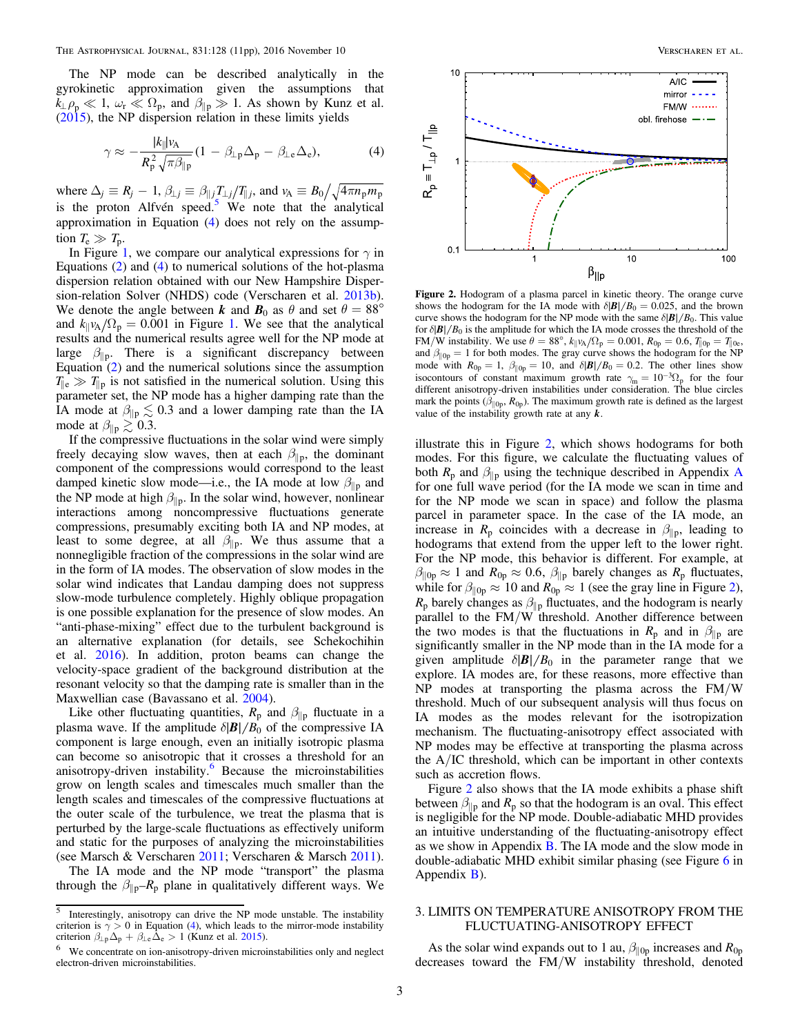<span id="page-2-1"></span>The NP mode can be described analytically in the gyrokinetic approximation given the assumptions that  $k_{\perp} \rho_p \ll 1$ ,  $\omega_r \ll \Omega_p$ , and  $\beta_{\parallel p} \gg 1$ . As shown by Kunz et al. ([2015](#page-10-40)), the NP dispersion relation in these limits yields

$$
\gamma \approx -\frac{|k_{\parallel}|v_{\rm A}}{R_{\rm p}^2 \sqrt{\pi \beta_{\parallel p}}} (1 - \beta_{\perp \rm p} \Delta_{\rm p} - \beta_{\perp \rm e} \Delta_{\rm e}),\tag{4}
$$

where  $\Delta_j \equiv R_j - 1$ ,  $\beta_{\perp j} \equiv \beta_{\parallel j} T_{\perp j}/T_{\parallel j}$ , and  $v_A \equiv B_0 / \sqrt{4\pi n_p m_p}$ is the proton Alfvén speed.<sup>[5](#page-2-2)</sup> We note that the analytical approximation in Equation ([4](#page-2-1)) does not rely on the assumption  $T_e \gg T_p$ .

In Figure [1](#page-1-4), we compare our analytical expressions for  $\gamma$  in Equations ([2](#page-1-3)) and ([4](#page-2-1)) to numerical solutions of the hot-plasma dispersion relation obtained with our New Hampshire Dispersion-relation Solver (NHDS) code (Verscharen et al. [2013b](#page-10-41)). We denote the angle between *k* and  $\mathbf{B}_0$  as  $\theta$  and set  $\theta = 88^\circ$ and  $k_{\parallel}v_A/\Omega_p = 0.001$  $k_{\parallel}v_A/\Omega_p = 0.001$  in Figure 1. We see that the analytical results and the numerical results agree well for the NP mode at large  $\beta_{\parallel p}$ . There is a significant discrepancy between Equation ([2](#page-1-3)) and the numerical solutions since the assumption  $T_{\parallel e} \gg T_{\parallel p}$  is not satisfied in the numerical solution. Using this parameter set, the NP mode has a higher damping rate than the IA mode at  $\beta_{\parallel p} \lesssim 0.3$  and a lower damping rate than the IA mode at  $\beta_{\parallel p} \gtrsim 0.3$ .

If the compressive fluctuations in the solar wind were simply freely decaying slow waves, then at each  $\beta_{\parallel p}$ , the dominant component of the compressions would correspond to the least damped kinetic slow mode—i.e., the IA mode at low  $\beta_{\parallel p}$  and the NP mode at high  $\beta_{\parallel p}$ . In the solar wind, however, nonlinear interactions among noncompressive fluctuations generate compressions, presumably exciting both IA and NP modes, at least to some degree, at all  $\beta_{\parallel p}$ . We thus assume that a nonnegligible fraction of the compressions in the solar wind are in the form of IA modes. The observation of slow modes in the solar wind indicates that Landau damping does not suppress slow-mode turbulence completely. Highly oblique propagation is one possible explanation for the presence of slow modes. An "anti-phase-mixing" effect due to the turbulent background is an alternative explanation (for details, see Schekochihin et al. [2016](#page-10-42)). In addition, proton beams can change the velocity-space gradient of the background distribution at the resonant velocity so that the damping rate is smaller than in the Maxwellian case (Bavassano et al. [2004](#page-9-16)).

Like other fluctuating quantities,  $R_p$  and  $\beta_{\parallel p}$  fluctuate in a plasma wave. If the amplitude  $\delta$ | $\mathbf{B}$ | $/B_0$  of the compressive IA component is large enough, even an initially isotropic plasma can become so anisotropic that it crosses a threshold for an anisotropy-driven instability.<sup>[6](#page-2-3)</sup> Because the microinstabilities grow on length scales and timescales much smaller than the length scales and timescales of the compressive fluctuations at the outer scale of the turbulence, we treat the plasma that is perturbed by the large-scale fluctuations as effectively uniform and static for the purposes of analyzing the microinstabilities (see Marsch & Verscharen [2011](#page-10-43); Verscharen & Marsch [2011](#page-10-44)).

The IA mode and the NP mode "transport" the plasma through the  $\beta_{\parallel p}-R_p$  plane in qualitatively different ways. We

<span id="page-2-4"></span>

Figure 2. Hodogram of a plasma parcel in kinetic theory. The orange curve shows the hodogram for the IA mode with  $\delta$ | $\mathbf{B}$ | $/B_0 = 0.025$ , and the brown curve shows the hodogram for the NP mode with the same  $\delta$ | $\mathbf{B}$ | $/B_0$ . This value for  $\delta$ | $\mathbf{B}$ |/ $\mathbf{B}_0$  is the amplitude for which the IA mode crosses the threshold of the FM/W instability. We use  $\theta = 88^{\circ}$ ,  $k_{\parallel}v_A/\Omega_{\rm p} = 0.001$ ,  $R_{0\rm p} = 0.6$ ,  $T_{\parallel 0\rm p} = T_{\parallel 0\rm e}$ , and  $\beta_{\parallel 0p} = 1$  for both modes. The gray curve shows the hodogram for the NP mode with  $R_{0p} = 1$ ,  $\beta_{\parallel 0p} = 10$ , and  $\delta \frac{|B|}{B_0} = 0.2$ . The other lines show isocontours of constant maximum growth rate  $\gamma_m = 10^{-3} \Omega_p$  for the four different anisotropy-driven instabilities under consideration. The blue circles mark the points  $(\beta_{\parallel 0p}, R_{0p})$ . The maximum growth rate is defined as the largest value of the instability growth rate at any *k*.

illustrate this in Figure [2](#page-2-4), which shows hodograms for both modes. For this figure, we calculate the fluctuating values of both  $R_p$  and  $\beta_{\parallel p}$  using the technique described in [A](#page-4-0)ppendix A for one full wave period (for the IA mode we scan in time and for the NP mode we scan in space) and follow the plasma parcel in parameter space. In the case of the IA mode, an increase in  $R_p$  coincides with a decrease in  $\beta_{\parallel p}$ , leading to hodograms that extend from the upper left to the lower right. For the NP mode, this behavior is different. For example, at  $\beta_{\parallel 0p} \approx 1$  and  $R_{0p} \approx 0.6$ ,  $\beta_{\parallel p}$  barely changes as  $R_p$  fluctuates, while for  $\beta_{\parallel 0p} \approx 10$  and  $R_{0p} \approx 1$  (see the gray line in Figure [2](#page-2-4)),  $R_p$  barely changes as  $\beta_{\parallel p}$  fluctuates, and the hodogram is nearly parallel to the FM/W threshold. Another difference between the two modes is that the fluctuations in  $R_p$  and in  $\beta_{\parallel p}$  are significantly smaller in the NP mode than in the IA mode for a given amplitude  $\delta$ |**B**|/B<sub>0</sub> in the parameter range that we explore. IA modes are, for these reasons, more effective than NP modes at transporting the plasma across the FM/W threshold. Much of our subsequent analysis will thus focus on IA modes as the modes relevant for the isotropization mechanism. The fluctuating-anisotropy effect associated with NP modes may be effective at transporting the plasma across the A/IC threshold, which can be important in other contexts such as accretion flows.

Figure [2](#page-2-4) also shows that the IA mode exhibits a phase shift between  $\beta_{\parallel p}$  and  $R_p$  so that the hodogram is an oval. This effect is negligible for the NP mode. Double-adiabatic MHD provides an intuitive understanding of the fluctuating-anisotropy effect as we show in Appendix [B](#page-7-0). The IA mode and the slow mode in double-adiabatic MHD exhibit similar phasing (see Figure [6](#page-8-0) in Appendix [B](#page-7-0)).

## <span id="page-2-0"></span>3. LIMITS ON TEMPERATURE ANISOTROPY FROM THE FLUCTUATING-ANISOTROPY EFFECT

As the solar wind expands out to 1 au,  $\beta_{\parallel 0p}$  increases and  $R_{0p}$ decreases toward the FM/W instability threshold, denoted

<span id="page-2-2"></span> $\overline{\overline{\phantom{a}}\phantom{\overline{\phantom{a}}}}$  Interestingly, anisotropy can drive the NP mode unstable. The instability criterion is  $\gamma > 0$  in Equation ([4](#page-2-1)), which leads to the mirror-mode instability criterion  $\beta_{\perp \rm p} \Delta_{\rm p} + \beta_{\perp \rm e} \tilde{\Delta}_{\rm e} > 1$  (Kunz et al. [2015](#page-10-40)).<br><sup>6</sup> We concentrate on ion-anisotropy-driven microinstabilities only and neglect

<span id="page-2-3"></span>electron-driven microinstabilities.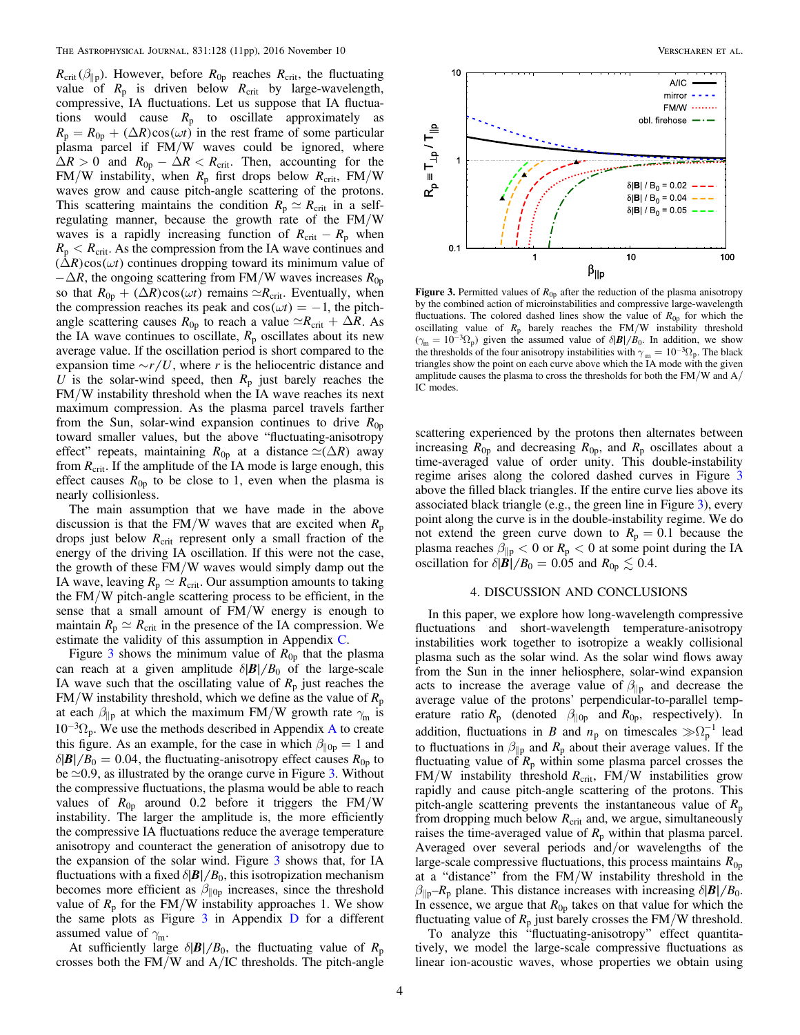$R_{\text{crit}} (\beta_{\parallel p})$ . However, before  $R_{0p}$  reaches  $R_{\text{crit}}$ , the fluctuating value of  $R_p$  is driven below  $R_{crit}$  by large-wavelength, compressive, IA fluctuations. Let us suppose that IA fluctuations would cause  $R_p$  to oscillate approximately as  $R_p = R_{0p} + (\Delta R) \cos(\omega t)$  in the rest frame of some particular plasma parcel if FM/W waves could be ignored, where  $\Delta R > 0$  and  $R_{0p} - \Delta R < R_{crit}$ . Then, accounting for the FM/W instability, when  $R_p$  first drops below  $R_{\text{crit}}$ , FM/W waves grow and cause pitch-angle scattering of the protons. This scattering maintains the condition  $R_p \simeq R_{\rm crit}$  in a selfregulating manner, because the growth rate of the FM/W waves is a rapidly increasing function of  $R_{\text{crit}} - R_{\text{p}}$  when  $R_p < R_{\text{crit}}$ . As the compression from the IA wave continues and  $(\Delta R) \cos(\omega t)$  continues dropping toward its minimum value of  $-\Delta R$ , the ongoing scattering from FM/W waves increases  $R_{0p}$ so that  $R_{0p} + (\Delta R) \cos(\omega t)$  remains  $\approx R_{\text{crit}}$ . Eventually, when the compression reaches its peak and  $cos(\omega t) = -1$ , the pitchangle scattering causes  $R_{0p}$  to reach a value  $\approx R_{\text{crit}} + \Delta R$ . As the IA wave continues to oscillate,  $R_p$  oscillates about its new average value. If the oscillation period is short compared to the expansion time  $\sim r/U$ , where r is the heliocentric distance and U is the solar-wind speed, then  $R_p$  just barely reaches the FM/W instability threshold when the IA wave reaches its next maximum compression. As the plasma parcel travels farther from the Sun, solar-wind expansion continues to drive  $R_{0p}$ toward smaller values, but the above "fluctuating-anisotropy effect" repeats, maintaining  $R_{0p}$  at a distance  $\approx (\Delta R)$  away from  $R_{\text{crit}}$ . If the amplitude of the IA mode is large enough, this effect causes  $R_{0p}$  to be close to 1, even when the plasma is nearly collisionless.

The main assumption that we have made in the above discussion is that the FM/W waves that are excited when  $R_p$ drops just below  $R_{\text{crit}}$  represent only a small fraction of the energy of the driving IA oscillation. If this were not the case, the growth of these FM/W waves would simply damp out the IA wave, leaving  $R_p \simeq R_{\text{crit}}$ . Our assumption amounts to taking the FM/W pitch-angle scattering process to be efficient, in the sense that a small amount of FM/W energy is enough to maintain  $R_p \simeq R_{\text{crit}}$  in the presence of the IA compression. We estimate the validity of this assumption in Appendix [C](#page-8-1).

Figure [3](#page-3-1) shows the minimum value of  $R_{0p}$  that the plasma can reach at a given amplitude  $\delta$ |**B**| / B<sub>0</sub> of the large-scale IA wave such that the oscillating value of  $R_p$  just reaches the  $FM/W$  instability threshold, which we define as the value of  $R_p$ at each  $\beta_{\parallel p}$  at which the maximum FM/W growth rate  $\gamma_m$  is  $10^{-3} \Omega_p$ . We use the methods described in [A](#page-4-0)ppendix A to create this figure. As an example, for the case in which  $\beta_{\parallel 0p} = 1$  and  $\delta$ |*B*| $/B_0 = 0.04$ , the fluctuating-anisotropy effect causes  $R_{0p}$  to be  $\approx 0.9$ , as illustrated by the orange curve in Figure [3.](#page-3-1) Without the compressive fluctuations, the plasma would be able to reach values of  $R_{0p}$  around 0.2 before it triggers the FM/W instability. The larger the amplitude is, the more efficiently the compressive IA fluctuations reduce the average temperature anisotropy and counteract the generation of anisotropy due to the expansion of the solar wind. Figure [3](#page-3-1) shows that, for IA fluctuations with a fixed  $\delta$ | $\mathbf{B}$ | $/B_0$ , this isotropization mechanism becomes more efficient as  $\beta_{\parallel 0p}$  increases, since the threshold value of  $R_p$  for the FM/W instability approaches 1. We show the same plots as Figure  $3$  in Appendix  $D$  for a different assumed value of  $\gamma_m$ .

At sufficiently large  $\delta$ |*B*| $/B_0$ , the fluctuating value of  $R_p$ crosses both the FM/W and A/IC thresholds. The pitch-angle

<span id="page-3-1"></span>

Figure 3. Permitted values of  $R_{0p}$  after the reduction of the plasma anisotropy by the combined action of microinstabilities and compressive large-wavelength fluctuations. The colored dashed lines show the value of  $R_{0p}$  for which the oscillating value of *R*<sup>p</sup> barely reaches the FM/W instability threshold  $(\gamma_m = 10^{-3} \Omega_p)$  given the assumed value of  $\delta |\mathbf{B}| / B_0$ . In addition, we show the thresholds of the four anisotropy instabilities with  $\gamma_m = 10^{-3} \Omega_p$ . The black triangles show the point on each curve above which the IA mode with the given amplitude causes the plasma to cross the thresholds for both the FM/W and A/ IC modes.

scattering experienced by the protons then alternates between increasing  $R_{0p}$  and decreasing  $R_{0p}$ , and  $R_p$  oscillates about a time-averaged value of order unity. This double-instability regime arises along the colored dashed curves in Figure [3](#page-3-1) above the filled black triangles. If the entire curve lies above its associated black triangle (e.g., the green line in Figure [3](#page-3-1)), every point along the curve is in the double-instability regime. We do not extend the green curve down to  $R_p = 0.1$  because the plasma reaches  $\beta_{\parallel p} < 0$  or  $R_p < 0$  at some point during the IA oscillation for  $\delta$ |*B*|/**B**<sub>0</sub> = 0.05 and  $R_{0p} \le 0.4$ .

### 4. DISCUSSION AND CONCLUSIONS

<span id="page-3-0"></span>In this paper, we explore how long-wavelength compressive fluctuations and short-wavelength temperature-anisotropy instabilities work together to isotropize a weakly collisional plasma such as the solar wind. As the solar wind flows away from the Sun in the inner heliosphere, solar-wind expansion acts to increase the average value of  $\beta_{\parallel p}$  and decrease the average value of the protons' perpendicular-to-parallel temperature ratio  $R_p$  (denoted  $\beta_{\parallel 0p}$  and  $R_{0p}$ , respectively). In addition, fluctuations in B and  $n_p$  on timescales  $\gg \Omega_p^{-1}$  lead to fluctuations in  $\beta_{\parallel p}$  and  $R_p$  about their average values. If the fluctuating value of  $R_p$  within some plasma parcel crosses the FM/W instability threshold  $R_{\text{crit}}$ , FM/W instabilities grow rapidly and cause pitch-angle scattering of the protons. This pitch-angle scattering prevents the instantaneous value of  $R_p$ from dropping much below  $R_{\text{crit}}$  and, we argue, simultaneously raises the time-averaged value of  $R_p$  within that plasma parcel. Averaged over several periods and/or wavelengths of the large-scale compressive fluctuations, this process maintains *R*0p at a "distance" from the FM/W instability threshold in the  $\beta_{\parallel p} - R_p$  plane. This distance increases with increasing  $\delta |B| / B_0$ . In essence, we argue that  $R_{0p}$  takes on that value for which the fluctuating value of  $R_p$  just barely crosses the FM/W threshold.

To analyze this "fluctuating-anisotropy" effect quantitatively, we model the large-scale compressive fluctuations as linear ion-acoustic waves, whose properties we obtain using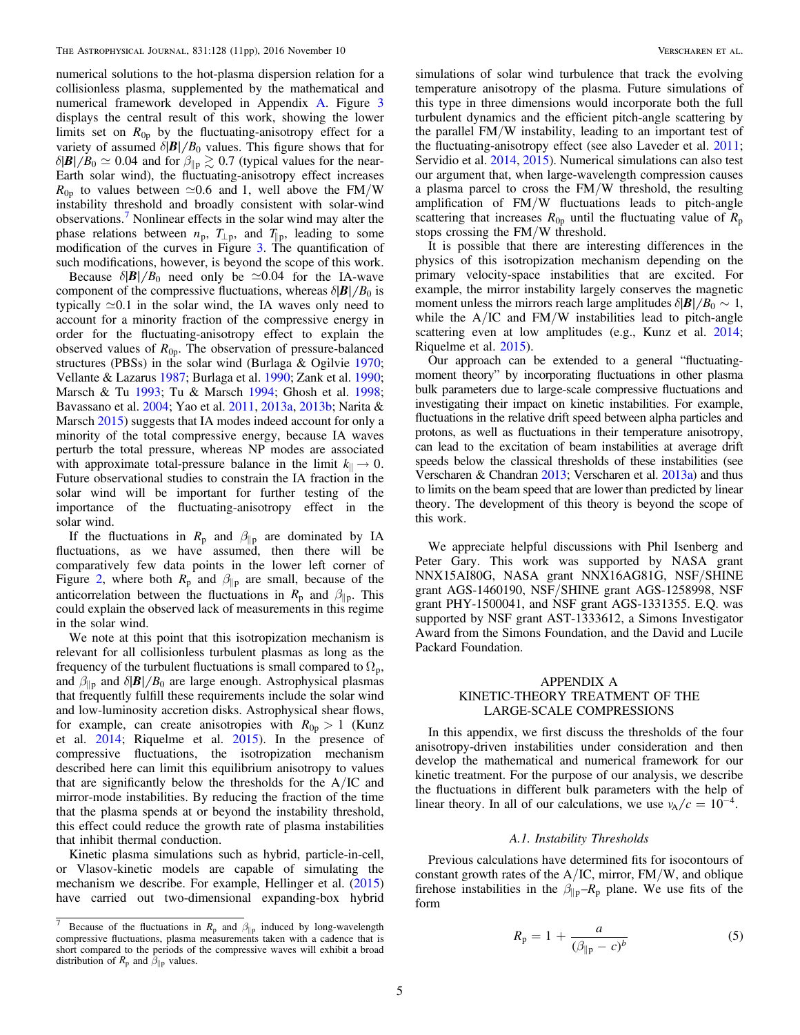numerical solutions to the hot-plasma dispersion relation for a collisionless plasma, supplemented by the mathematical and numerical framework developed in Appendix [A](#page-4-0). Figure [3](#page-3-1) displays the central result of this work, showing the lower limits set on  $R_{0p}$  by the fluctuating-anisotropy effect for a variety of assumed  $\delta$ |**B**| / B<sub>0</sub> values. This figure shows that for  $\delta$ |*B*| / *B*<sub>0</sub>  $\approx$  0.04 and for  $\beta_{\parallel p} \gtrsim$  0.7 (typical values for the near-Earth solar wind), the fluctuating-anisotropy effect increases  $R_{0p}$  to values between  $\simeq 0.6$  and 1, well above the FM/W instability threshold and broadly consistent with solar-wind observations.[7](#page-4-1) Nonlinear effects in the solar wind may alter the phase relations between  $n_p$ ,  $T_{\perp p}$ , and  $T_{\parallel p}$ , leading to some modification of the curves in Figure  $\overline{3}$ . The quantification of such modifications, however, is beyond the scope of this work.

Because  $\delta$ |**B**|/B<sub>0</sub> need only be  $\approx 0.04$  for the IA-wave component of the compressive fluctuations, whereas  $\delta$ |**B**|/**B**<sub>0</sub> is typically  $\approx 0.1$  in the solar wind, the IA waves only need to account for a minority fraction of the compressive energy in order for the fluctuating-anisotropy effect to explain the observed values of  $R_{0p}$ . The observation of pressure-balanced structures (PBSs) in the solar wind (Burlaga & Ogilvie [1970](#page-9-18); Vellante & Lazarus [1987](#page-10-45); Burlaga et al. [1990](#page-9-19); Zank et al. [1990](#page-10-46); Marsch & Tu [1993](#page-10-47); Tu & Marsch [1994](#page-10-48); Ghosh et al. [1998](#page-10-49); Bavassano et al. [2004](#page-9-16); Yao et al. [2011,](#page-10-34) [2013a](#page-10-50), [2013b](#page-10-51); Narita & Marsch [2015](#page-10-39)) suggests that IA modes indeed account for only a minority of the total compressive energy, because IA waves perturb the total pressure, whereas NP modes are associated with approximate total-pressure balance in the limit  $k_{\parallel} \rightarrow 0$ . Future observational studies to constrain the IA fraction in the solar wind will be important for further testing of the importance of the fluctuating-anisotropy effect in the solar wind.

If the fluctuations in  $R_p$  and  $\beta_{\parallel p}$  are dominated by IA fluctuations, as we have assumed, then there will be comparatively few data points in the lower left corner of Figure [2](#page-2-4), where both  $R_p$  and  $\beta_{\parallel p}$  are small, because of the anticorrelation between the fluctuations in  $R_p$  and  $\beta_{\parallel p}$ . This could explain the observed lack of measurements in this regime in the solar wind.

We note at this point that this isotropization mechanism is relevant for all collisionless turbulent plasmas as long as the frequency of the turbulent fluctuations is small compared to  $\Omega_p$ , and  $\beta_{\parallel p}$  and  $\delta$ **|B**|/B<sub>0</sub> are large enough. Astrophysical plasmas that frequently fulfill these requirements include the solar wind and low-luminosity accretion disks. Astrophysical shear flows, for example, can create anisotropies with  $R_{0p} > 1$  (Kunz et al. [2014](#page-10-20); Riquelme et al. [2015](#page-10-21)). In the presence of compressive fluctuations, the isotropization mechanism described here can limit this equilibrium anisotropy to values that are significantly below the thresholds for the A/IC and mirror-mode instabilities. By reducing the fraction of the time that the plasma spends at or beyond the instability threshold, this effect could reduce the growth rate of plasma instabilities that inhibit thermal conduction.

Kinetic plasma simulations such as hybrid, particle-in-cell, or Vlasov-kinetic models are capable of simulating the mechanism we describe. For example, Hellinger et al. ([2015](#page-10-52)) have carried out two-dimensional expanding-box hybrid simulations of solar wind turbulence that track the evolving temperature anisotropy of the plasma. Future simulations of this type in three dimensions would incorporate both the full turbulent dynamics and the efficient pitch-angle scattering by the parallel FM/W instability, leading to an important test of the fluctuating-anisotropy effect (see also Laveder et al. [2011](#page-10-53); Servidio et al. [2014](#page-10-54), [2015](#page-10-55)). Numerical simulations can also test our argument that, when large-wavelength compression causes a plasma parcel to cross the FM/W threshold, the resulting amplification of FM/W fluctuations leads to pitch-angle scattering that increases  $R_{0p}$  until the fluctuating value of  $R_p$ stops crossing the FM/W threshold.

It is possible that there are interesting differences in the physics of this isotropization mechanism depending on the primary velocity-space instabilities that are excited. For example, the mirror instability largely conserves the magnetic moment unless the mirrors reach large amplitudes  $\delta$ |*B*| $/B_0 \sim 1$ , while the A/IC and FM/W instabilities lead to pitch-angle scattering even at low amplitudes (e.g., Kunz et al. [2014](#page-10-20); Riquelme et al. [2015](#page-10-21)).

Our approach can be extended to a general "fluctuatingmoment theory" by incorporating fluctuations in other plasma bulk parameters due to large-scale compressive fluctuations and investigating their impact on kinetic instabilities. For example, fluctuations in the relative drift speed between alpha particles and protons, as well as fluctuations in their temperature anisotropy, can lead to the excitation of beam instabilities at average drift speeds below the classical thresholds of these instabilities (see Verscharen & Chandran [2013;](#page-10-56) Verscharen et al. [2013a](#page-10-57)) and thus to limits on the beam speed that are lower than predicted by linear theory. The development of this theory is beyond the scope of this work.

We appreciate helpful discussions with Phil Isenberg and Peter Gary. This work was supported by NASA grant NNX15AI80G, NASA grant NNX16AG81G, NSF/SHINE grant AGS-1460190, NSF/SHINE grant AGS-1258998, NSF grant PHY-1500041, and NSF grant AGS-1331355. E.Q. was supported by NSF grant AST-1333612, a Simons Investigator Award from the Simons Foundation, and the David and Lucile Packard Foundation.

## <span id="page-4-0"></span>APPENDIX A KINETIC-THEORY TREATMENT OF THE LARGE-SCALE COMPRESSIONS

In this appendix, we first discuss the thresholds of the four anisotropy-driven instabilities under consideration and then develop the mathematical and numerical framework for our kinetic treatment. For the purpose of our analysis, we describe the fluctuations in different bulk parameters with the help of linear theory. In all of our calculations, we use  $v_A/c = 10^{-4}$ .

### A.1. Instability Thresholds

<span id="page-4-2"></span>Previous calculations have determined fits for isocontours of constant growth rates of the  $A/IC$ , mirror,  $FM/W$ , and oblique firehose instabilities in the  $\beta_{\parallel p} - R_p$  plane. We use fits of the form

$$
R_{\rm p} = 1 + \frac{a}{(\beta_{\parallel \rm p} - c)^b} \tag{5}
$$

<span id="page-4-1"></span><sup>&</sup>lt;sup>7</sup> Because of the fluctuations in  $R_p$  and  $\beta_{\parallel p}$  induced by long-wavelength compressive fluctuations, plasma measurements taken with a cadence that is short compared to the periods of the compressive waves will exhibit a broad distribution of  $R_p$  and  $\beta_{\parallel p}$  values.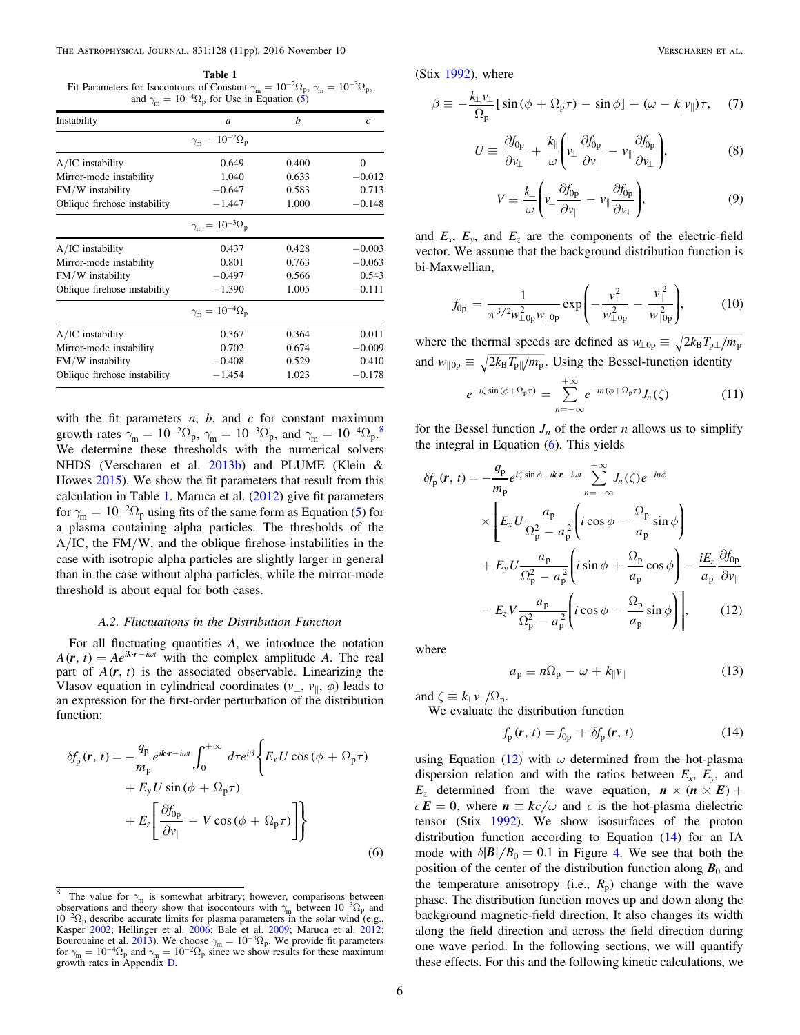<span id="page-5-1"></span>Table 1 Fit Parameters for Isocontours of Constant  $\gamma_m = 10^{-2} \Omega_p$ ,  $\gamma_m = 10^{-3} \Omega_p$ , and  $\gamma_m = 10^{-4} \Omega_p$  for Use in Equation ([5](#page-4-2))

| Instability                  | a                                         | h     | c        |
|------------------------------|-------------------------------------------|-------|----------|
|                              | $\gamma_{\rm m} = 10^{-2} \Omega_{\rm p}$ |       |          |
| $A/IC$ instability           | 0.649                                     | 0.400 | $\theta$ |
| Mirror-mode instability      | 1.040                                     | 0.633 | $-0.012$ |
| FM/W instability             | $-0.647$                                  | 0.583 | 0.713    |
| Oblique firehose instability | $-1.447$                                  | 1.000 | $-0.148$ |
|                              | $\gamma_{\rm m} = 10^{-3} \Omega_{\rm p}$ |       |          |
| $A/IC$ instability           | 0.437                                     | 0.428 | $-0.003$ |
| Mirror-mode instability      | 0.801                                     | 0.763 | $-0.063$ |
| FM/W instability             | $-0.497$                                  | 0.566 | 0.543    |
| Oblique firehose instability | $-1.390$                                  | 1.005 | $-0.111$ |
|                              | $\gamma_{\rm m} = 10^{-4} \Omega_{\rm p}$ |       |          |
| $A/IC$ instability           | 0.367                                     | 0.364 | 0.011    |
| Mirror-mode instability      | 0.702                                     | 0.674 | $-0.009$ |
| FM/W instability             | $-0.408$                                  | 0.529 | 0.410    |
| Oblique firehose instability | $-1.454$                                  | 1.023 | $-0.178$ |

with the fit parameters  $a$ ,  $b$ , and  $c$  for constant maximum growth rates  $\gamma_m = 10^{-2} \Omega_p$ ,  $\gamma_m = 10^{-3} \Omega_p$ , and  $\gamma_m = 10^{-4} \Omega_p$ .<sup>[8](#page-5-0)</sup> We determine these thresholds with the numerical solvers NHDS (Verscharen et al. [2013b](#page-10-41)) and PLUME (Klein & Howes [2015](#page-10-58)). We show the fit parameters that result from this calculation in Table [1.](#page-5-1) Maruca et al. ([2012](#page-10-15)) give fit parameters for  $\gamma_{\rm m} = 10^{-2} \Omega_{\rm p}$  using fits of the same form as Equation ([5](#page-4-2)) for a plasma containing alpha particles. The thresholds of the A/IC, the FM/W, and the oblique firehose instabilities in the case with isotropic alpha particles are slightly larger in general than in the case without alpha particles, while the mirror-mode threshold is about equal for both cases.

#### A.2. Fluctuations in the Distribution Function

For all fluctuating quantities A, we introduce the notation  $A(r, t) = Ae^{ikr - i\omega t}$  with the complex amplitude A. The real part of  $A(r, t)$  is the associated observable. Linearizing the Vlasov equation in cylindrical coordinates ( $v_{\perp}$ ,  $v_{\parallel}$ ,  $\phi$ ) leads to an expression for the first-order perturbation of the distribution function:

<span id="page-5-2"></span>
$$
\delta f_{\rm p}(\mathbf{r}, t) = -\frac{q_{\rm p}}{m_{\rm p}} e^{ik \cdot \mathbf{r} - i\omega t} \int_0^{+\infty} d\tau e^{i\beta} \left\{ E_x U \cos(\phi + \Omega_{\rm p}\tau) + E_y U \sin(\phi + \Omega_{\rm p}\tau) + E_z \left[ \frac{\partial f_{\rm 0p}}{\partial v_{\parallel}} - V \cos(\phi + \Omega_{\rm p}\tau) \right] \right\}
$$
\n(6)

 $(Stix 1992)$  $(Stix 1992)$  $(Stix 1992)$ , where

$$
\beta \equiv -\frac{k_{\perp}v_{\perp}}{\Omega_{\rm p}} [\sin(\phi + \Omega_{\rm p}\tau) - \sin\phi] + (\omega - k_{\parallel}v_{\parallel})\tau, \quad (7)
$$

$$
U \equiv \frac{\partial f_{0p}}{\partial v_{\perp}} + \frac{k_{\parallel}}{\omega} \left( v_{\perp} \frac{\partial f_{0p}}{\partial v_{\parallel}} - v_{\parallel} \frac{\partial f_{0p}}{\partial v_{\perp}} \right), \tag{8}
$$

$$
V \equiv \frac{k_{\perp}}{\omega} \left( v_{\perp} \frac{\partial f_{0p}}{\partial v_{\parallel}} - v_{\parallel} \frac{\partial f_{0p}}{\partial v_{\perp}} \right), \tag{9}
$$

and  $E_x$ ,  $E_y$ , and  $E_z$  are the components of the electric-field vector. We assume that the background distribution function is bi-Maxwellian,

$$
f_{0p} = \frac{1}{\pi^{3/2} w_{\perp 0p}^2 w_{\parallel 0p}} \exp\left(-\frac{v_{\perp}^2}{w_{\perp 0p}^2} - \frac{v_{\parallel}^2}{w_{\parallel 0p}^2}\right),
$$
 (10)

 $\overline{a}$ 

where the thermal speeds are defined as  $w_{\perp 0p} \equiv \sqrt{2k_B T_p / m_p}$ and  $w_{\parallel 0p} \equiv \sqrt{2k_B T_p / m_p}$ . Using the Bessel-function identity

$$
e^{-i\zeta\sin(\phi+\Omega_{\mathfrak{p}}\tau)} = \sum_{n=-\infty}^{+\infty} e^{-in(\phi+\Omega_{\mathfrak{p}}\tau)} J_n(\zeta)
$$
 (11)

<span id="page-5-3"></span>for the Bessel function  $J_n$  of the order n allows us to simplify the integral in Equation  $(6)$  $(6)$  $(6)$ . This yields

$$
\delta f_{\rm p}(\mathbf{r}, t) = -\frac{q_{\rm p}}{m_{\rm p}} e^{i\zeta \sin \phi + i\boldsymbol{k} \cdot \mathbf{r} - i\omega t} \sum_{n=-\infty}^{+\infty} J_n(\zeta) e^{-in\phi}
$$
  

$$
\times \left[ E_x U \frac{a_{\rm p}}{\Omega_{\rm p}^2 - a_{\rm p}^2} \left( i \cos \phi - \frac{\Omega_{\rm p}}{a_{\rm p}} \sin \phi \right) + E_y U \frac{a_{\rm p}}{\Omega_{\rm p}^2 - a_{\rm p}^2} \left( i \sin \phi + \frac{\Omega_{\rm p}}{a_{\rm p}} \cos \phi \right) - \frac{iE_z}{a_{\rm p}} \frac{\partial f_{0\rm p}}{\partial v_{\parallel}}
$$
  

$$
- E_z V \frac{a_{\rm p}}{\Omega_{\rm p}^2 - a_{\rm p}^2} \left( i \cos \phi - \frac{\Omega_{\rm p}}{a_{\rm p}} \sin \phi \right) \right], \qquad (12)
$$

where

$$
a_{\rm p} \equiv n\Omega_{\rm p} - \omega + k_{\parallel}v_{\parallel} \tag{13}
$$

<span id="page-5-4"></span>and  $\zeta \equiv k_{\perp} v_{\perp} / \Omega_p$ .

We evaluate the distribution function

$$
f_{\rm p}(\mathbf{r}, t) = f_{0\rm p} + \delta f_{\rm p}(\mathbf{r}, t) \tag{14}
$$

using Equation ([12](#page-5-3)) with  $\omega$  determined from the hot-plasma dispersion relation and with the ratios between  $E_x$ ,  $E_y$ , and  $E_z$  determined from the wave equation,  $\mathbf{n} \times (\mathbf{n} \times \mathbf{E}) +$  $\epsilon E = 0$ , where  $n \equiv kc/\omega$  and  $\epsilon$  is the hot-plasma dielectric tensor (Stix [1992](#page-10-38)). We show isosurfaces of the proton distribution function according to Equation ([14](#page-5-4)) for an IA mode with  $\delta$ | $B$ | $/B$ <sub>0</sub> = 0.1 in Figure [4](#page-6-0). We see that both the position of the center of the distribution function along  $B_0$  and the temperature anisotropy (i.e.,  $R_p$ ) change with the wave phase. The distribution function moves up and down along the background magnetic-field direction. It also changes its width along the field direction and across the field direction during one wave period. In the following sections, we will quantify these effects. For this and the following kinetic calculations, we

<span id="page-5-0"></span><sup>&</sup>lt;sup>8</sup> The value for  $\gamma_m$  is somewhat arbitrary; however, comparisons between observations and theory show that isocontours with  $\gamma_m$  between  $10^{-3} \Omega_p$  and  $10^{-2}\Omega_p$  describe accurate limits for plasma parameters in the solar wind (e.g., Kasper [2002;](#page-10-12) Hellinger et al. [2006;](#page-10-13) Bale et al. [2009;](#page-9-5) Maruca et al. [2012;](#page-10-15) Bourouaine et al. [2013](#page-9-20)). We choose  $\gamma_m = 10^{-3} \Omega_p$ . We provide fit parameters for  $\gamma_m = 10^{-4} \Omega_p$  and  $\gamma_m = 10^{-2} \Omega_p$  since we show results for these maximum growth rates in Appendix [D.](#page-9-17)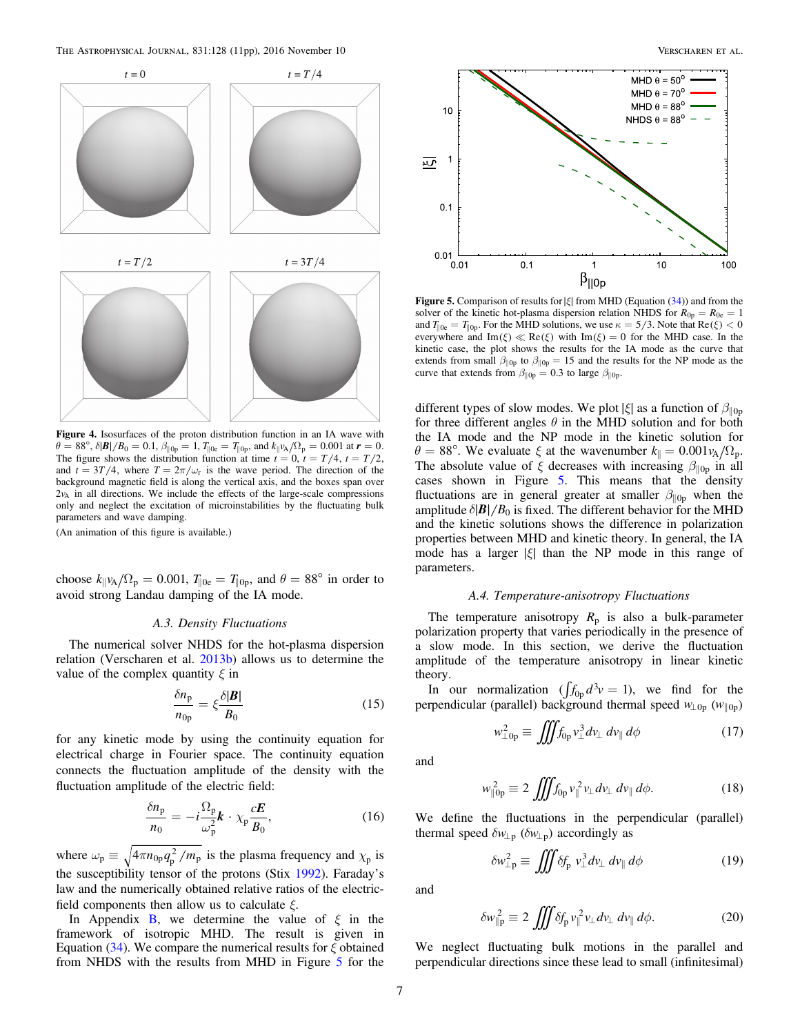<span id="page-6-0"></span>

Figure 4. Isosurfaces of the proton distribution function in an IA wave with  $\theta = 88^\circ$ ,  $\delta |\mathbf{B}| / B_0 = 0.1$ ,  $\beta_{\parallel 0p} = 1$ ,  $T_{\parallel 0e} = T_{\parallel 0p}$ , and  $k_{\parallel} v_A / \Omega_p = 0.001$  at  $\mathbf{r} = 0$ . The figure shows the distribution function at time  $t = 0$ ,  $t = T/4$ ,  $t = T/2$ , and  $t = 3T/4$ , where  $T = 2\pi/\omega_r$  is the wave period. The direction of the background magnetic field is along the vertical axis, and the boxes span over  $2v<sub>A</sub>$  in all directions. We include the effects of the large-scale compressions only and neglect the excitation of microinstabilities by the fluctuating bulk parameters and wave damping.

(An animation of this figure is available.)

choose  $k_{\parallel}v_A/\Omega_{\rm p} = 0.001$ ,  $T_{\parallel 0e} = T_{\parallel 0p}$ , and  $\theta = 88^\circ$  in order to avoid strong Landau damping of the IA mode.

#### A.3. Density Fluctuations

<span id="page-6-4"></span>The numerical solver NHDS for the hot-plasma dispersion relation (Verscharen et al. [2013b](#page-10-41)) allows us to determine the value of the complex quantity  $\xi$  in

$$
\frac{\delta n_{\rm p}}{n_{\rm 0p}} = \xi \frac{\delta |\mathbf{B}|}{B_0} \tag{15}
$$

for any kinetic mode by using the continuity equation for electrical charge in Fourier space. The continuity equation connects the fluctuation amplitude of the density with the fluctuation amplitude of the electric field:

$$
\frac{\delta n_{\rm p}}{n_0} = -i \frac{\Omega_{\rm p}}{\omega_{\rm p}^2} \mathbf{k} \cdot \chi_{\rm p} \frac{c \mathbf{E}}{\mathbf{B}_0},\tag{16}
$$

where  $\omega_p \equiv \sqrt{4\pi n_{0p} q_p^2/m_p}$  is the plasma frequency and  $\chi_p$  is the susceptibility tensor of the protons (Stix [1992](#page-10-38)). Faraday's law and the numerically obtained relative ratios of the electricfield components then allow us to calculate  $\xi$ .

In Appendix [B](#page-7-0), we determine the value of  $\xi$  in the framework of isotropic MHD. The result is given in Equation ([34](#page-8-2)). We compare the numerical results for  $\xi$  obtained from NHDS with the results from MHD in Figure [5](#page-6-1) for the

<span id="page-6-1"></span>

Figure 5. Comparison of results for∣*x*∣ from MHD (Equation ([34](#page-8-2))) and from the solver of the kinetic hot-plasma dispersion relation NHDS for  $R_{0p} = R_{0e} = 1$ and  $T_{\parallel 0e} = T_{\parallel 0p}$ . For the MHD solutions, we use  $\kappa = 5/3$ . Note that  $\text{Re}(\xi) < 0$ everywhere and Im( $\xi$ )  $\ll$  Re( $\xi$ ) with Im( $\xi$ ) = 0 for the MHD case. In the kinetic case, the plot shows the results for the IA mode as the curve that extends from small  $\beta_{\parallel 0p}$  to  $\beta_{\parallel 0p} = 15$  and the results for the NP mode as the curve that extends from  $\beta_{\parallel 0p} = 0.3$  to large  $\beta_{\parallel 0p}$ .

different types of slow modes. We plot  $|\xi|$  as a function of  $\beta_{\parallel 0p}$ for three different angles  $\theta$  in the MHD solution and for both the IA mode and the NP mode in the kinetic solution for  $\theta = 88^\circ$ . We evaluate  $\xi$  at the wavenumber  $k_{\parallel} = 0.001 v_A / \Omega_p$ . The absolute value of  $\xi$  decreases with increasing  $\beta_{\parallel 0p}$  in all cases shown in Figure [5](#page-6-1). This means that the density fluctuations are in general greater at smaller  $\beta_{\parallel 0p}$  when the amplitude  $\delta$ |**B**|/B<sub>0</sub> is fixed. The different behavior for the MHD and the kinetic solutions shows the difference in polarization properties between MHD and kinetic theory. In general, the IA mode has a larger ∣*x*∣ than the NP mode in this range of parameters.

### A.4. Temperature-anisotropy Fluctuations

The temperature anisotropy  $R_p$  is also a bulk-parameter polarization property that varies periodically in the presence of a slow mode. In this section, we derive the fluctuation amplitude of the temperature anisotropy in linear kinetic theory.

<span id="page-6-2"></span>In our normalization  $(\int f_{0p} d^3 v = 1)$ , we find for the perpendicular (parallel) background thermal speed  $w_{\perp 0p}$  ( $w_{\parallel 0p}$ )

$$
w_{\perp 0p}^2 \equiv \iiint f_{0p} v_{\perp}^3 dv_{\perp} dv_{\parallel} d\phi \qquad (17)
$$

and

$$
w_{\parallel 0p}^2 \equiv 2 \iiint f_{0p} v_{\parallel}^2 v_{\perp} dv_{\perp} dv_{\parallel} d\phi. \tag{18}
$$

We define the fluctuations in the perpendicular (parallel) thermal speed  $\delta w_{\perp p}$  ( $\delta w_{\perp p}$ ) accordingly as

$$
\delta w_{\perp p}^2 \equiv \iiint \delta f_p \ v_\perp^3 dv_\perp \ dv_{\parallel} \ d\phi \tag{19}
$$

<span id="page-6-3"></span>and

$$
\delta w_{\parallel p}^2 \equiv 2 \iiint \delta f_p v_{\parallel}^2 v_{\perp} dv_{\perp} dv_{\parallel} d\phi. \tag{20}
$$

We neglect fluctuating bulk motions in the parallel and perpendicular directions since these lead to small (infinitesimal)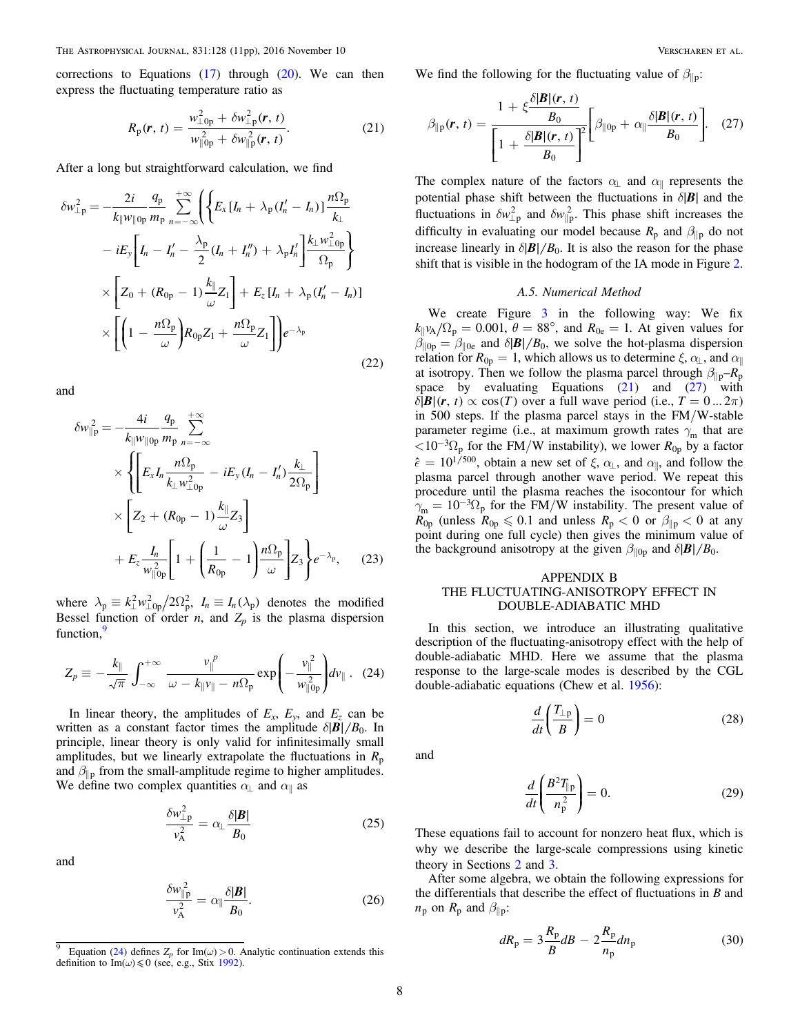<span id="page-7-2"></span>corrections to Equations  $(17)$  $(17)$  $(17)$  through  $(20)$  $(20)$  $(20)$ . We can then express the fluctuating temperature ratio as

$$
R_{\rm p}(r,\,t) = \frac{w_{\perp 0p}^2 + \delta w_{\perp p}^2(r,\,t)}{w_{\parallel 0p}^2 + \delta w_{\parallel p}^2(r,\,t)}.\tag{21}
$$

After a long but straightforward calculation, we find

$$
\delta w_{\perp p}^{2} = -\frac{2i}{k_{\parallel}w_{\parallel 0p}} \frac{q_{p}}{m_{p}} \sum_{n=-\infty}^{+\infty} \left( \left\{ E_{x} \left[ I_{n} + \lambda_{p} (I_{n}' - I_{n}) \right] \frac{n\Omega_{p}}{k_{\perp}} \right. \right. \\ \left. - iE_{y} \left[ I_{n} - I_{n}' - \frac{\lambda_{p}}{2} (I_{n} + I_{n}'') + \lambda_{p} I_{n}' \right] \frac{k_{\perp} w_{\perp 0p}^{2}}{\Omega_{p}} \right\} \\ \times \left[ Z_{0} + (R_{0p} - 1) \frac{k_{\parallel}}{\omega} Z_{1} \right] + E_{z} \left[ I_{n} + \lambda_{p} (I_{n}' - I_{n}) \right] \\ \times \left[ \left( 1 - \frac{n\Omega_{p}}{\omega} \right) R_{0p} Z_{1} + \frac{n\Omega_{p}}{\omega} Z_{1} \right] e^{-\lambda_{p}} \tag{22}
$$

and

$$
\delta w_{\parallel p}^{2} = -\frac{4i}{k_{\parallel} w_{\parallel 0p}} \frac{q_{p}}{m_{p}} \sum_{n=-\infty}^{+\infty} \times \left\{ \left[ E_{x} I_{n} \frac{n \Omega_{p}}{k_{\perp} w_{\perp 0p}^{2}} - i E_{y} (I_{n} - I_{n}') \frac{k_{\perp}}{2 \Omega_{p}} \right] \times \left[ Z_{2} + (R_{0p} - 1) \frac{k_{\parallel}}{\omega} Z_{3} \right] + E_{z} \frac{I_{n}}{w_{\parallel 0p}^{2}} \left[ 1 + \left( \frac{1}{R_{0p}} - 1 \right) \frac{n \Omega_{p}}{\omega} \right] Z_{3} \right\} e^{-\lambda_{p}}, \quad (23)
$$

<span id="page-7-4"></span>where  $\lambda_p \equiv k_\perp^2 w_{\perp 0p}^2 / 2\Omega_p^2$ ,  $I_n \equiv I_n(\lambda_p)$  denotes the modified Bessel function of order *n*, and  $Z_p$  is the plasma dispersion function,<sup>[9](#page-7-1)</sup>

$$
Z_p \equiv -\frac{k_{\parallel}}{\sqrt{\pi}} \int_{-\infty}^{+\infty} \frac{v_{\parallel}^p}{\omega - k_{\parallel} v_{\parallel} - n\Omega_p} \exp\left(-\frac{v_{\parallel}^2}{w_{\parallel}^2 \rho_p}\right) dv_{\parallel}. \quad (24)
$$

In linear theory, the amplitudes of  $E_x$ ,  $E_y$ , and  $E_z$  can be written as a constant factor times the amplitude  $\delta$ |**B**| /**B**<sub>0</sub>. In principle, linear theory is only valid for infinitesimally small amplitudes, but we linearly extrapolate the fluctuations in  $R_p$ and  $\beta_{\parallel p}$  from the small-amplitude regime to higher amplitudes. We define two complex quantities  $\alpha_{\perp}$  and  $\alpha_{\parallel}$  as

$$
\frac{\delta w_{\perp p}^2}{v_A^2} = \alpha_{\perp} \frac{\delta |\pmb{B}|}{\pmb{B}_0} \tag{25}
$$

and

$$
\frac{\delta w_{\parallel p}^2}{v_A^2} = \alpha_{\parallel} \frac{\delta |\pmb{B}|}{B_0}.
$$
 (26)

<span id="page-7-3"></span>We find the following for the fluctuating value of  $\beta_{\parallel p}$ :

$$
\beta_{\parallel p}(\boldsymbol{r},t) = \frac{1 + \xi \frac{\delta |\boldsymbol{B}|(\boldsymbol{r},t)}{B_0}}{\left[1 + \frac{\delta |\boldsymbol{B}|(\boldsymbol{r},t)}{B_0}\right]^2} \left[\beta_{\parallel 0p} + \alpha_{\parallel} \frac{\delta |\boldsymbol{B}|(\boldsymbol{r},t)}{B_0}\right].
$$
 (27)

The complex nature of the factors  $\alpha_1$  and  $\alpha_1$  represents the potential phase shift between the fluctuations in  $\delta$ |**B**| and the fluctuations in  $\delta w_{\perp p}^2$  and  $\delta w_{\parallel p}^2$ . This phase shift increases the difficulty in evaluating our model because  $R_p$  and  $\beta_{\parallel p}$  do not increase linearly in  $\delta$ |*B*| / *B*<sub>0</sub>. It is also the reason for the phase shift that is visible in the hodogram of the IA mode in Figure [2](#page-2-4).

#### A.5. Numerical Method

We create Figure [3](#page-3-1) in the following way: We fix  $k_{\parallel}v_A/\Omega_p = 0.001$ ,  $\theta = 88^\circ$ , and  $R_{0e} = 1$ . At given values for  $\beta_{\parallel 0p} = \beta_{\parallel 0e}$  and  $\delta$ |**B**|/**B**<sub>0</sub>, we solve the hot-plasma dispersion relation for  $R_{0p} = 1$ , which allows us to determine  $\xi$ ,  $\alpha_{\perp}$ , and  $\alpha_{\parallel}$ at isotropy. Then we follow the plasma parcel through  $\beta_{\parallel p} - R_p$ space by evaluating Equations  $(21)$  $(21)$  $(21)$  and  $(27)$  $(27)$  $(27)$  with  $\delta$ |*B*|(r, t)  $\propto$  cos(T) over a full wave period (i.e.,  $T = 0 ... 2\pi$ ) in 500 steps. If the plasma parcel stays in the FM/W-stable parameter regime (i.e., at maximum growth rates  $\gamma_m$  that are  $< 10^{-3} \Omega_p$  for the FM/W instability), we lower  $R_{0p}$  by a factor  $\hat{\epsilon} = 10^{1/500}$ , obtain a new set of  $\xi$ ,  $\alpha_{\perp}$ , and  $\alpha_{\parallel}$ , and follow the plasma parcel through another wave period. We repeat this procedure until the plasma reaches the isocontour for which  $\hat{\gamma}_{m} = 10^{-3} \Omega_{p}$  for the FM/W instability. The present value of  $R_{0p}$  (unless  $R_{0p} \le 0.1$  and unless  $R_p < 0$  or  $\beta_{\parallel p} < 0$  at any point during one full cycle) then gives the minimum value of the background anisotropy at the given  $\beta_{\parallel 0p}$  and  $\delta$ |*B*|/*B*<sub>0</sub>.

# <span id="page-7-0"></span>APPENDIX B THE FLUCTUATING-ANISOTROPY EFFECT IN DOUBLE-ADIABATIC MHD

In this section, we introduce an illustrating qualitative description of the fluctuating-anisotropy effect with the help of double-adiabatic MHD. Here we assume that the plasma response to the large-scale modes is described by the CGL double-adiabatic equations (Chew et al. [1956](#page-9-9)):

$$
\frac{d}{dt}\left(\frac{T_{\perp p}}{B}\right) = 0\tag{28}
$$

and

$$
\frac{d}{dt} \left( \frac{B^2 T_{\parallel p}}{n_p^2} \right) = 0.
$$
\n(29)

These equations fail to account for nonzero heat flux, which is why we describe the large-scale compressions using kinetic theory in Sections [2](#page-1-0) and [3](#page-2-0).

After some algebra, we obtain the following expressions for the differentials that describe the effect of fluctuations in B and  $n_{\rm p}$  on  $R_{\rm p}$  and  $\beta_{\rm l|p}$ :

$$
dR_{\rm p} = 3\frac{R_{\rm p}}{B}dB - 2\frac{R_{\rm p}}{n_{\rm p}}dn_{\rm p} \tag{30}
$$

<span id="page-7-1"></span>Equation ([24](#page-7-4)) defines  $Z_p$  for Im( $\omega$ ) > 0. Analytic continuation extends this definition to Im( $\omega$ )  $\leq 0$  (see, e.g., Stix [1992](#page-10-38)).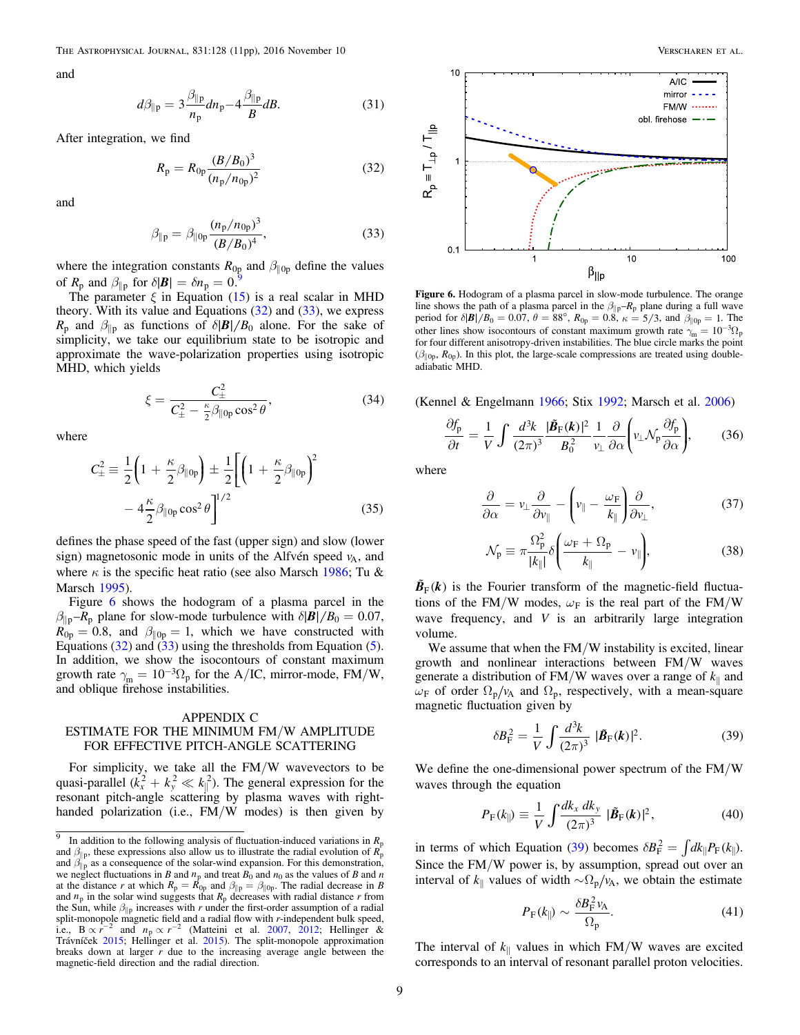and

$$
d\beta_{\parallel p} = 3 \frac{\beta_{\parallel p}}{n_p} dn_p - 4 \frac{\beta_{\parallel p}}{B} dB.
$$
 (31)

<span id="page-8-4"></span>After integration, we find

$$
R_{\rm p} = R_{0\rm p} \frac{(B/B_0)^3}{(n_{\rm p}/n_{0\rm p})^2} \tag{32}
$$

<span id="page-8-5"></span>and

$$
\beta_{\parallel p} = \beta_{\parallel 0p} \frac{(n_p/n_{0p})^3}{(B/B_0)^4},
$$
\n(33)

where the integration constants  $R_{0p}$  and  $\beta_{\parallel 0p}$  define the values<br>of *P* and  $\beta_{\parallel}$  for  $\delta$ [*P*] =  $\delta p = 0.9$  $\delta p = 0.9$ of  $R_p$  and  $\beta_{\parallel p}$  for  $\delta|\mathbf{B}| = \delta n_p = 0$ .

<span id="page-8-2"></span>The parameter  $\xi$  in Equation ([15](#page-6-4)) is a real scalar in MHD theory. With its value and Equations  $(32)$  $(32)$  $(32)$  and  $(33)$  $(33)$  $(33)$ , we express *R*<sub>p</sub> and  $\beta_{\parallel p}$  as functions of  $\delta$ |*B*| /*B*<sub>0</sub> alone. For the sake of simplicity, we take our equilibrium state to be isotropic and approximate the wave-polarization properties using isotropic MHD, which yields

$$
\xi = \frac{C_{\pm}^2}{C_{\pm}^2 - \frac{\kappa}{2}\beta_{\parallel 0p}\cos^2\theta},
$$
\n(34)

where

$$
C_{\pm}^2 \equiv \frac{1}{2} \left( 1 + \frac{\kappa}{2} \beta_{\parallel 0p} \right) \pm \frac{1}{2} \left[ \left( 1 + \frac{\kappa}{2} \beta_{\parallel 0p} \right)^2 - 4 \frac{\kappa}{2} \beta_{\parallel 0p} \cos^2 \theta \right]^{1/2}
$$
(35)

defines the phase speed of the fast (upper sign) and slow (lower sign) magnetosonic mode in units of the Alfvén speed  $v_A$ , and where  $\kappa$  is the specific heat ratio (see also Marsch [1986;](#page-10-59) Tu & Marsch [1995](#page-10-33)).

Figure [6](#page-8-0) shows the hodogram of a plasma parcel in the  $\beta_{\parallel p} - R_p$  plane for slow-mode turbulence with  $\delta$ |*B*| / *B*<sub>0</sub> = 0.07,  $R_{0p} = 0.8$ , and  $\beta_{\parallel 0p} = 1$ , which we have constructed with Equations ([32](#page-8-4)) and  $(33)$  $(33)$  $(33)$  using the thresholds from Equation ([5](#page-4-2)). In addition, we show the isocontours of constant maximum growth rate  $\gamma_{\rm m} = 10^{-3} \Omega_{\rm p}$  for the A/IC, mirror-mode, FM/W, and oblique firehose instabilities.

# <span id="page-8-1"></span>APPENDIX C ESTIMATE FOR THE MINIMUM FM/W AMPLITUDE FOR EFFECTIVE PITCH-ANGLE SCATTERING

For simplicity, we take all the FM/W wavevectors to be quasi-parallel  $(k_x^2 + k_y^2 \ll k_{\parallel}^2)$ . The general expression for the resonant pitch-angle scattering by plasma waves with righthanded polarization (i.e., FM/W modes) is then given by



<span id="page-8-0"></span>

Figure 6. Hodogram of a plasma parcel in slow-mode turbulence. The orange line shows the path of a plasma parcel in the  $\beta_{\parallel p}-R_p$  plane during a full wave period for  $\delta |\mathbf{B}| / B_0 = 0.07$ ,  $\theta = 88^\circ$ ,  $R_{0p} = 0.8$ ,  $\kappa = 5/3$ , and  $\beta_{\parallel 0p} = 1$ . The other lines show isocontours of constant maximum growth rate  $\gamma_m = 10^{-3} \Omega_p$ for four different anisotropy-driven instabilities. The blue circle marks the point  $(\beta_{\parallel 0p}, R_{0p})$ . In this plot, the large-scale compressions are treated using doubleadiabatic MHD.

<span id="page-8-8"></span>(Kennel & Engelmann [1966](#page-10-60); Stix [1992](#page-10-38); Marsch et al. [2006](#page-10-14))

$$
\frac{\partial f_{\mathbf{p}}}{\partial t} = \frac{1}{V} \int \frac{d^3 k}{(2\pi)^3} \frac{|\tilde{\mathbf{B}}_{\mathbf{F}}(\mathbf{k})|^2}{B_0^2} \frac{1}{v_{\perp}} \frac{\partial}{\partial \alpha} \left( v_{\perp} \mathcal{N}_{\mathbf{p}} \frac{\partial f_{\mathbf{p}}}{\partial \alpha} \right), \tag{36}
$$

where

$$
\frac{\partial}{\partial \alpha} = v_{\perp} \frac{\partial}{\partial v_{\parallel}} - \left( v_{\parallel} - \frac{\omega_{\rm F}}{k_{\parallel}} \right) \frac{\partial}{\partial v_{\perp}}, \tag{37}
$$

$$
\mathcal{N}_{\rm p} \equiv \pi \frac{\Omega_{\rm p}^2}{|k_{\parallel}|} \delta \bigg( \frac{\omega_{\rm F} + \Omega_{\rm p}}{k_{\parallel}} - \nu_{\parallel} \bigg),\tag{38}
$$

 $\tilde{B}_F(k)$  is the Fourier transform of the magnetic-field fluctuations of the FM/W modes,  $\omega_F$  is the real part of the FM/W wave frequency, and  $V$  is an arbitrarily large integration volume.

<span id="page-8-6"></span>We assume that when the FM/W instability is excited, linear growth and nonlinear interactions between FM/W waves generate a distribution of FM/W waves over a range of  $k_{\parallel}$  and  $\omega_F$  of order  $\Omega_p/\nu_A$  and  $\Omega_p$ , respectively, with a mean-square magnetic fluctuation given by

$$
\delta B_{\rm F}^2 = \frac{1}{V} \int \frac{d^3k}{(2\pi)^3} \ |\tilde{B}_{\rm F}(k)|^2.
$$
 (39)

We define the one-dimensional power spectrum of the FM/W waves through the equation

$$
P_{\mathcal{F}}(k_{\parallel}) \equiv \frac{1}{V} \int \frac{dk_x \, dk_y}{(2\pi)^3} \, |\tilde{\boldsymbol{B}}_{\mathcal{F}}(\boldsymbol{k})|^2, \tag{40}
$$

<span id="page-8-7"></span>in terms of which Equation ([39](#page-8-6)) becomes  $\delta B_F^2 = \int dk_{\parallel} P_F(k_{\parallel})$ . Since the FM/W power is, by assumption, spread out over an interval of  $k_{\parallel}$  values of width  $\sim \Omega_p / v_A$ , we obtain the estimate

$$
P_{\rm F}(k_{\parallel}) \sim \frac{\delta B_{\rm F}^2 v_{\rm A}}{\Omega_{\rm p}}.\tag{41}
$$

The interval of  $k_{\parallel}$  values in which FM/W waves are excited corresponds to an interval of resonant parallel proton velocities.

<span id="page-8-3"></span><sup>&</sup>lt;sup>9</sup> In addition to the following analysis of fluctuation-induced variations in  $R_p$ and  $\beta_{\parallel p}$ , these expressions also allow us to illustrate the radial evolution of  $R_p$ and  $\beta_{\parallel p}^{\parallel r}$  as a consequence of the solar-wind expansion. For this demonstration, we neglect fluctuations in B and  $n_p$  and treat  $B_0$  and  $n_0$  as the values of B and n at the distance r at which  $R_p = R_{0p}$  and  $\beta_{\parallel p} = \beta_{\parallel 0p}$ . The radial decrease in B and  $n_p$  in the solar wind suggests that  $R_p$  decreases with radial distance r from the Sun, while  $\beta_{\parallel p}$  increases with r under the first-order assumption of a radial split-monopole magnetic field and a radial flow with  $r$ -independent bulk speed, i.e.,  $B \propto r^{-2}$  and  $n_p \propto r^{-2}$  (Matteini et al. [2007,](#page-10-61) [2012](#page-10-62); Hellinger & Trávníček [2015;](#page-10-63) Hellinger et al. [2015](#page-10-52)). The split-monopole approximation breaks down at larger  $r$  due to the increasing average angle between the magnetic-field direction and the radial direction.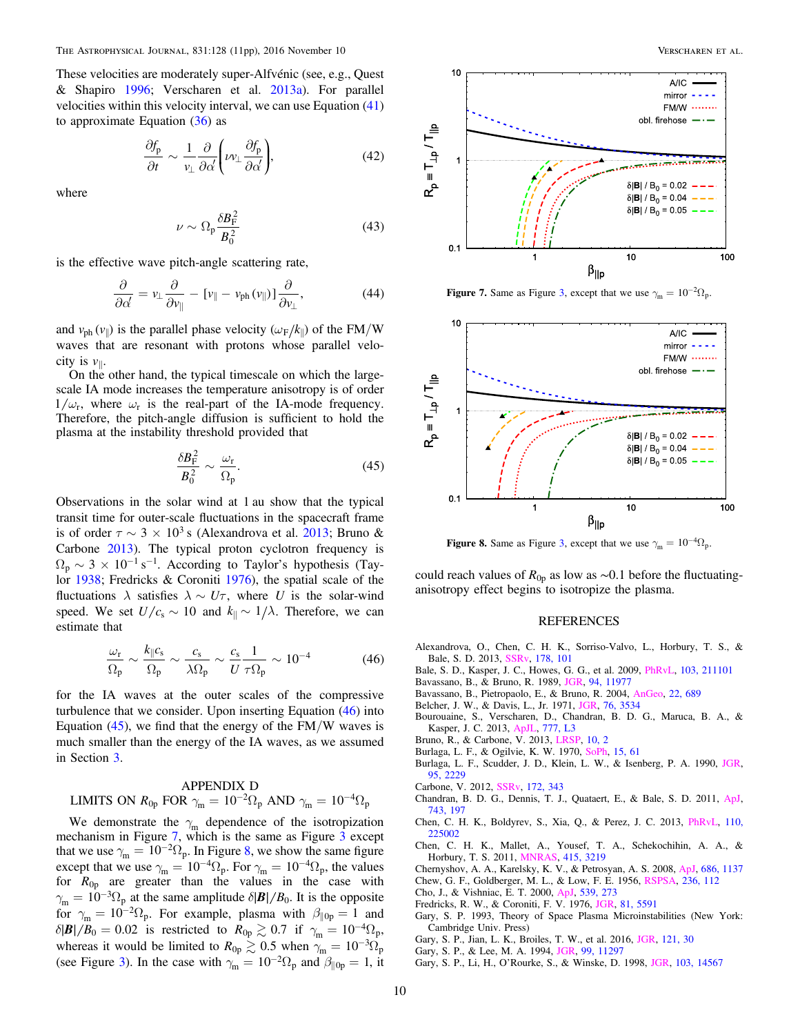These velocities are moderately super-Alfvénic (see, e.g., Quest & Shapiro [1996](#page-10-22); Verscharen et al. [2013a](#page-10-57)). For parallel velocities within this velocity interval, we can use Equation ([41](#page-8-7)) to approximate Equation  $(36)$  $(36)$  $(36)$  as

$$
\frac{\partial f_{\rm p}}{\partial t} \sim \frac{1}{\nu_{\perp}} \frac{\partial}{\partial \alpha} \left( \nu \nu_{\perp} \frac{\partial f_{\rm p}}{\partial \alpha} \right),\tag{42}
$$

where

$$
\nu \sim \Omega_{\rm p} \frac{\delta B_{\rm F}^2}{B_0^2} \tag{43}
$$

is the effective wave pitch-angle scattering rate,

$$
\frac{\partial}{\partial \alpha'} = v_{\perp} \frac{\partial}{\partial v_{\parallel}} - [v_{\parallel} - v_{\text{ph}}(v_{\parallel})] \frac{\partial}{\partial v_{\perp}}, \tag{44}
$$

and  $v_{ph}(v_{\parallel})$  is the parallel phase velocity ( $\omega_F/k_{\parallel}$ ) of the FM/W waves that are resonant with protons whose parallel velocity is  $v_{\parallel}$ .

<span id="page-9-23"></span>On the other hand, the typical timescale on which the largescale IA mode increases the temperature anisotropy is of order  $1/\omega_r$ , where  $\omega_r$  is the real-part of the IA-mode frequency. Therefore, the pitch-angle diffusion is sufficient to hold the plasma at the instability threshold provided that

$$
\frac{\delta B_{\rm F}^2}{B_0^2} \sim \frac{\omega_{\rm r}}{\Omega_{\rm p}}.\tag{45}
$$

Observations in the solar wind at 1 au show that the typical transit time for outer-scale fluctuations in the spacecraft frame is of order  $\tau \sim 3 \times 10^3$  s (Alexandrova et al. [2013;](#page-9-0) Bruno & Carbone [2013](#page-9-1)). The typical proton cyclotron frequency is  $\Omega_p \sim 3 \times 10^{-1} \text{ s}^{-1}$ . According to Taylor's hypothesis (Taylor [1938](#page-10-64); Fredricks & Coroniti [1976](#page-9-21)), the spatial scale of the fluctuations  $\lambda$  satisfies  $\lambda \sim U\tau$ , where U is the solar-wind speed. We set  $U/c_s \sim 10$  and  $k_{\parallel} \sim 1/\lambda$ . Therefore, we can estimate that

<span id="page-9-22"></span>
$$
\frac{\omega_r}{\Omega_p} \sim \frac{k_{\parallel} c_s}{\Omega_p} \sim \frac{c_s}{\lambda \Omega_p} \sim \frac{c_s}{U} \frac{1}{\tau \Omega_p} \sim 10^{-4}
$$
 (46)

for the IA waves at the outer scales of the compressive turbulence that we consider. Upon inserting Equation ([46](#page-9-22)) into Equation  $(45)$  $(45)$  $(45)$ , we find that the energy of the FM/W waves is much smaller than the energy of the IA waves, as we assumed in Section [3.](#page-2-0)

# <span id="page-9-17"></span>APPENDIX D LIMITS ON  $R_{0p}$  FOR  $\gamma_{m} = 10^{-2} \Omega_{p}$  AND  $\gamma_{m} = 10^{-4} \Omega_{p}$

We demonstrate the  $\gamma_m$  dependence of the isotropization mechanism in Figure [7,](#page-9-24) which is the same as Figure [3](#page-3-1) except that we use  $\gamma_{\rm m} = 10^{-2} \Omega_{\rm p}$ . In Figure [8,](#page-9-25) we show the same figure except that we use  $\gamma_{\rm m} = 10^{-4} \Omega_{\rm p}$ . For  $\gamma_{\rm m} = 10^{-4} \Omega_{\rm p}$ , the values for  $R_{0p}$  are greater than the values in the case with  $\gamma_{\rm m} = 10^{-3} \Omega_{\rm p}$  at the same amplitude  $\delta |\mathbf{B}| / B_0$ . It is the opposite for  $\gamma_{\rm m} = 10^{-2} \Omega_{\rm p}$ . For example, plasma with  $\beta_{\parallel 0p} = 1$  and  $\delta$ |*B*|/*B*<sub>0</sub> = 0.02 is restricted to  $R_{0p} \gtrsim 0.7$  if  $\gamma_m = 10^{-4} \Omega_p$ , whereas it would be limited to  $R_{0p} \gtrsim 0.5$  when  $\gamma_m = 10^{-3} \Omega_p$ (see Figure [3](#page-3-1)). In the case with  $\gamma_m = 10^{-2} \Omega_p$  and  $\beta_{\parallel 0p} = 1$ , it

<span id="page-9-24"></span>

**Figure 7.** Same as Figure [3](#page-3-1), except that we use  $\gamma_m = 10^{-2} \Omega_p$ .

<span id="page-9-25"></span>

**Figure 8.** Same as Figure [3](#page-3-1), except that we use  $\gamma_m = 10^{-4} \Omega_p$ .

could reach values of  $R_{0p}$  as low as ~0.1 before the fluctuatinganisotropy effect begins to isotropize the plasma.

#### REFERENCES

- <span id="page-9-0"></span>Alexandrova, O., Chen, C. H. K., Sorriso-Valvo, L., Horbury, T. S., & Bale, S. D. 2013, [SSRv](http://dx.doi.org/10.1007/s11214-013-0004-8), [178, 101](http://adsabs.harvard.edu/abs/2013SSRv..178..101A)
- <span id="page-9-5"></span>Bale, S. D., Kasper, J. C., Howes, G. G., et al. 2009, [PhRvL](http://dx.doi.org/10.1103/PhysRevLett.103.211101), [103, 211101](http://adsabs.harvard.edu/abs/2009PhRvL.103u1101B)
- <span id="page-9-13"></span>Bavassano, B., & Bruno, R. 1989, [JGR](http://dx.doi.org/10.1029/JA094iA09p11977), [94, 11977](http://adsabs.harvard.edu/abs/1989JGR....9411977B)
- <span id="page-9-16"></span>Bavassano, B., Pietropaolo, E., & Bruno, R. 2004, [AnGeo,](http://dx.doi.org/10.5194/angeo-22-689-2004) [22, 689](http://adsabs.harvard.edu/abs/2004AnGeo..22..689B)
- <span id="page-9-12"></span>Belcher, J. W., & Davis, L., Jr. 1971, [JGR](http://dx.doi.org/10.1029/JA076i016p03534), [76, 3534](http://adsabs.harvard.edu/abs/1971JGR....76.3534B)
- <span id="page-9-20"></span>Bourouaine, S., Verscharen, D., Chandran, B. D. G., Maruca, B. A., & Kasper, J. C. 2013, [ApJL,](http://dx.doi.org/10.1088/2041-8205/777/1/L3) [777, L3](http://adsabs.harvard.edu/abs/2013ApJ...777L...3B)
- <span id="page-9-1"></span>Bruno, R., & Carbone, V. 2013, [LRSP,](http://dx.doi.org/10.12942/lrsp-2013-2) [10, 2](http://adsabs.harvard.edu/abs/2013LRSP...10....2B)
- <span id="page-9-18"></span>Burlaga, L. F., & Ogilvie, K. W. 1970, [SoPh,](http://dx.doi.org/10.1007/BF00149472) [15, 61](http://adsabs.harvard.edu/abs/1970SoPh...15...61B)
- <span id="page-9-19"></span>Burlaga, L. F., Scudder, J. D., Klein, L. W., & Isenberg, P. A. 1990, [JGR](http://dx.doi.org/10.1029/JA095iA03p02229)[,](http://adsabs.harvard.edu/abs/1990JGR....95.2229B) [95, 2229](http://adsabs.harvard.edu/abs/1990JGR....95.2229B)

<span id="page-9-2"></span>Carbone, V. 2012, [SSRv](http://dx.doi.org/10.1007/s11214-012-9907-z), [172, 343](http://adsabs.harvard.edu/abs/2012SSRv..172..343C)

- <span id="page-9-10"></span>Chandran, B. D. G., Dennis, T. J., Quataert, E., & Bale, S. D. 2011, [ApJ](http://dx.doi.org/10.1088/0004-637X/743/2/197)[,](http://adsabs.harvard.edu/abs/2011ApJ...743..197C) [743, 197](http://adsabs.harvard.edu/abs/2011ApJ...743..197C)
- <span id="page-9-11"></span>Chen, C. H. K., Boldyrev, S., Xia, Q., & Perez, J. C. 2013, [PhRvL](http://dx.doi.org/10.1103/PhysRevLett.110.225002), [110,](http://adsabs.harvard.edu/abs/2013PhRvL.110v5002C) [225002](http://adsabs.harvard.edu/abs/2013PhRvL.110v5002C)
- <span id="page-9-4"></span>Chen, C. H. K., Mallet, A., Yousef, T. A., Schekochihin, A. A., & Horbury, T. S. 2011, [MNRAS,](http://dx.doi.org/10.1111/j.1365-2966.2011.18933.x) [415, 3219](http://adsabs.harvard.edu/abs/2011MNRAS.415.3219C)
- <span id="page-9-14"></span>Chernyshov, A. A., Karelsky, K. V., & Petrosyan, A. S. 2008, [ApJ,](http://dx.doi.org/10.1086/591642) [686, 1137](http://adsabs.harvard.edu/abs/2008ApJ...686.1137C)
- <span id="page-9-9"></span>Chew, G. F., Goldberger, M. L., & Low, F. E. 1956, [RSPSA,](http://dx.doi.org/10.1098/rspa.1956.0116) [236, 112](http://adsabs.harvard.edu/abs/1956RSPSA.236..112C)
- <span id="page-9-3"></span>Cho, J., & Vishniac, E. T. 2000, [ApJ](http://dx.doi.org/10.1086/309213), [539, 273](http://adsabs.harvard.edu/abs/2000ApJ...539..273C)
- <span id="page-9-21"></span>Fredricks, R. W., & Coroniti, F. V. 1976, [JGR](http://dx.doi.org/10.1029/JA081i031p05591), [81, 5591](http://adsabs.harvard.edu/abs/1976JGR....81.5591F)
- <span id="page-9-15"></span>Gary, S. P. 1993, Theory of Space Plasma Microinstabilities (New York: Cambridge Univ. Press)
- <span id="page-9-7"></span>Gary, S. P., Jian, L. K., Broiles, T. W., et al. 2016, [JGR,](http://dx.doi.org/10.1002/2015JA021935) [121, 30](http://adsabs.harvard.edu/abs/2016JGRA..121...30G)
- <span id="page-9-6"></span>Gary, S. P., & Lee, M. A. 1994, [JGR](http://dx.doi.org/10.1029/94JA00253), [99, 11297](http://adsabs.harvard.edu/abs/1994JGR....9911297G)
- <span id="page-9-8"></span>Gary, S. P., Li, H., O'Rourke, S., & Winske, D. 1998, [JGR](http://dx.doi.org/10.1029/98JA01174), [103, 14567](http://adsabs.harvard.edu/abs/1998JGR...10314567G)